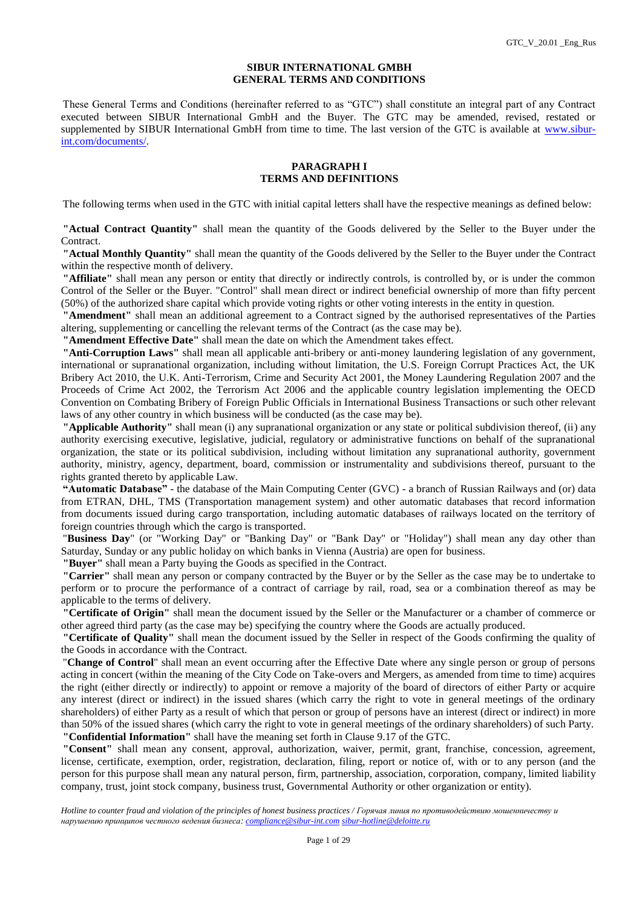#### **SIBUR INTERNATIONAL GMBH GENERAL TERMS AND CONDITIONS**

These General Terms and Conditions (hereinafter referred to as "GTC") shall constitute an integral part of any Contract executed between SIBUR International GmbH and the Buyer. The GTC may be amended, revised, restated or supplemented by SIBUR International GmbH from time to time. The last version of the GTC is available at [www.sibur](http://www.sibur-int.com/documents/)[int.com/documents/.](http://www.sibur-int.com/documents/)

#### **PARAGRAPH I TERMS AND DEFINITIONS**

The following terms when used in the GTC with initial capital letters shall have the respective meanings as defined below:

**"Actual Contract Quantity"** shall mean the quantity of the Goods delivered by the Seller to the Buyer under the Contract.

**"Actual Monthly Quantity"** shall mean the quantity of the Goods delivered by the Seller to the Buyer under the Contract within the respective month of delivery.

**"Affiliate"** shall mean any person or entity that directly or indirectly controls, is controlled by, or is under the common Control of the Seller or the Buyer. "Control" shall mean direct or indirect beneficial ownership of more than fifty percent (50%) of the authorized share capital which provide voting rights or other voting interests in the entity in question.

**"Amendment"** shall mean an additional agreement to a Contract signed by the authorised representatives of the Parties altering, supplementing or cancelling the relevant terms of the Contract (as the case may be).

**"Amendment Effective Date"** shall mean the date on which the Amendment takes effect.

**"Anti-Corruption Laws"** shall mean all applicable anti-bribery or anti-money laundering legislation of any government, international or supranational organization, including without limitation, the U.S. Foreign Corrupt Practices Act, the UK Bribery Act 2010, the U.K. Anti-Terrorism, Crime and Security Act 2001, the Money Laundering Regulation 2007 and the Proceeds of Crime Act 2002, the Terrorism Act 2006 and the applicable country legislation implementing the OECD Convention on Combating Bribery of Foreign Public Officials in International Business Transactions or such other relevant laws of any other country in which business will be conducted (as the case may be).

**"Applicable Authority"** shall mean (i) any supranational organization or any state or political subdivision thereof, (ii) any authority exercising executive, legislative, judicial, regulatory or administrative functions on behalf of the supranational organization, the state or its political subdivision, including without limitation any supranational authority, government authority, ministry, agency, department, board, commission or instrumentality and subdivisions thereof, pursuant to the rights granted thereto by applicable Law.

**"Automatic Database"** - the database of the Main Computing Center (GVC) - a branch of Russian Railways and (or) data from ETRAN, DHL, TMS (Transportation management system) and other automatic databases that record information from documents issued during cargo transportation, including automatic databases of railways located on the territory of foreign countries through which the cargo is transported.

"**Business Day**" (or "Working Day" or "Banking Day" or "Bank Day" or "Holiday") shall mean any day other than Saturday, Sunday or any public holiday on which banks in Vienna (Austria) are open for business.

**"Buyer"** shall mean a Party buying the Goods as specified in the Contract.

**"Carrier"** shall mean any person or company contracted by the Buyer or by the Seller as the case may be to undertake to perform or to procure the performance of a contract of carriage by rail, road, sea or a combination thereof as may be applicable to the terms of delivery.

**"Certificate of Origin"** shall mean the document issued by the Seller or the Manufacturer or a chamber of commerce or other agreed third party (as the case may be) specifying the country where the Goods are actually produced.

**"Certificate of Quality"** shall mean the document issued by the Seller in respect of the Goods confirming the quality of the Goods in accordance with the Contract.

"**Change of Control**" shall mean an event occurring after the Effective Date where any single person or group of persons acting in concert (within the meaning of the City Code on Take-overs and Mergers, as amended from time to time) acquires the right (either directly or indirectly) to appoint or remove a majority of the board of directors of either Party or acquire any interest (direct or indirect) in the issued shares (which carry the right to vote in general meetings of the ordinary shareholders) of either Party as a result of which that person or group of persons have an interest (direct or indirect) in more than 50% of the issued shares (which carry the right to vote in general meetings of the ordinary shareholders) of such Party. **"Confidential Information"** shall have the meaning set forth in Clause 9.17 of the GTC.

**"Consent"** shall mean any consent, approval, authorization, waiver, permit, grant, franchise, concession, agreement, license, certificate, exemption, order, registration, declaration, filing, report or notice of, with or to any person (and the person for this purpose shall mean any natural person, firm, partnership, association, corporation, company, limited liability company, trust, joint stock company, business trust, Governmental Authority or other organization or entity).

*Hotline to counter fraud and violation of the principles of honest business practices / Горячая линия по противодействию мошенничеству и нарушению принципов честного ведения бизнеса: [compliance@sibur-int.com](mailto:compliance@sibur-int.com) [sibur-hotline@deloitte.ru](mailto:sibur-hotline@deloitte.ru)*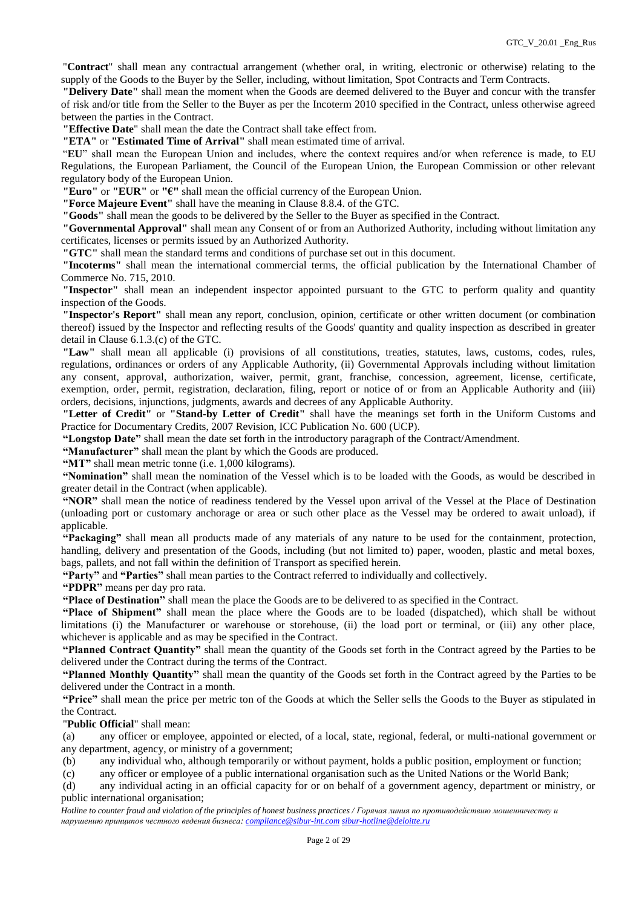"**Contract**" shall mean any contractual arrangement (whether oral, in writing, electronic or otherwise) relating to the supply of the Goods to the Buyer by the Seller, including, without limitation, Spot Contracts and Term Contracts.

**"Delivery Date"** shall mean the moment when the Goods are deemed delivered to the Buyer and concur with the transfer of risk and/or title from the Seller to the Buyer as per the Incoterm 2010 specified in the Contract, unless otherwise agreed between the parties in the Contract.

**"Effective Date**" shall mean the date the Contract shall take effect from.

**"ETA"** or **"Estimated Time of Arrival"** shall mean estimated time of arrival.

"**EU**" shall mean the European Union and includes, where the context requires and/or when reference is made, to EU Regulations, the European Parliament, the Council of the European Union, the European Commission or other relevant regulatory body of the European Union.

**"Euro"** or **"EUR"** or **"€"** shall mean the official currency of the European Union.

**"Force Majeure Event"** shall have the meaning in Clause 8.8.4. of the GTC.

**"Goods"** shall mean the goods to be delivered by the Seller to the Buyer as specified in the Contract.

**"Governmental Approval"** shall mean any Consent of or from an Authorized Authority, including without limitation any certificates, licenses or permits issued by an Authorized Authority.

**"GTC"** shall mean the standard terms and conditions of purchase set out in this document.

**"Incoterms"** shall mean the international commercial terms, the official publication by the International Chamber of Commerce No. 715, 2010.

**"Inspector"** shall mean an independent inspector appointed pursuant to the GTC to perform quality and quantity inspection of the Goods.

**"Inspector's Report"** shall mean any report, conclusion, opinion, certificate or other written document (or combination thereof) issued by the Inspector and reflecting results of the Goods' quantity and quality inspection as described in greater detail in Clause 6.1.3.(c) of the GTC.

**"Law"** shall mean all applicable (i) provisions of all constitutions, treaties, statutes, laws, customs, codes, rules, regulations, ordinances or orders of any Applicable Authority, (ii) Governmental Approvals including without limitation any consent, approval, authorization, waiver, permit, grant, franchise, concession, agreement, license, certificate, exemption, order, permit, registration, declaration, filing, report or notice of or from an Applicable Authority and (iii) orders, decisions, injunctions, judgments, awards and decrees of any Applicable Authority.

**"Letter of Credit"** or **"Stand-by Letter of Credit"** shall have the meanings set forth in the Uniform Customs and Practice for Documentary Credits, 2007 Revision, ICC Publication No. 600 (UCP).

**"Longstop Date"** shall mean the date set forth in the introductory paragraph of the Contract/Amendment.

**"Manufacturer"** shall mean the plant by which the Goods are produced.

**"MT"** shall mean metric tonne (i.e. 1,000 kilograms).

**"Nomination"** shall mean the nomination of the Vessel which is to be loaded with the Goods, as would be described in greater detail in the Contract (when applicable).

**"NOR"** shall mean the notice of readiness tendered by the Vessel upon arrival of the Vessel at the Place of Destination (unloading port or customary anchorage or area or such other place as the Vessel may be ordered to await unload), if applicable.

**"Packaging"** shall mean all products made of any materials of any nature to be used for the containment, protection, handling, delivery and presentation of the Goods, including (but not limited to) paper, wooden, plastic and metal boxes, bags, pallets, and not fall within the definition of Transport as specified herein.

**"Party"** and **"Parties"** shall mean parties to the Contract referred to individually and collectively.

**"PDPR"** means per day pro rata.

**"Place of Destination"** shall mean the place the Goods are to be delivered to as specified in the Contract.

**"Place of Shipment"** shall mean the place where the Goods are to be loaded (dispatched), which shall be without limitations (i) the Manufacturer or warehouse or storehouse, (ii) the load port or terminal, or (iii) any other place, whichever is applicable and as may be specified in the Contract.

**"Planned Contract Quantity"** shall mean the quantity of the Goods set forth in the Contract agreed by the Parties to be delivered under the Contract during the terms of the Contract.

**"Planned Monthly Quantity"** shall mean the quantity of the Goods set forth in the Contract agreed by the Parties to be delivered under the Contract in a month.

**"Price"** shall mean the price per metric ton of the Goods at which the Seller sells the Goods to the Buyer as stipulated in the Contract.

"**Public Official**" shall mean:

(a) any officer or employee, appointed or elected, of a local, state, regional, federal, or multi-national government or any department, agency, or ministry of a government;

(b) any individual who, although temporarily or without payment, holds a public position, employment or function;

(c) any officer or employee of a public international organisation such as the United Nations or the World Bank;

(d) any individual acting in an official capacity for or on behalf of a government agency, department or ministry, or public international organisation;

*Hotline to counter fraud and violation of the principles of honest business practices / Горячая линия по противодействию мошенничеству и нарушению принципов честного ведения бизнеса: [compliance@sibur-int.com](mailto:compliance@sibur-int.com) [sibur-hotline@deloitte.ru](mailto:sibur-hotline@deloitte.ru)*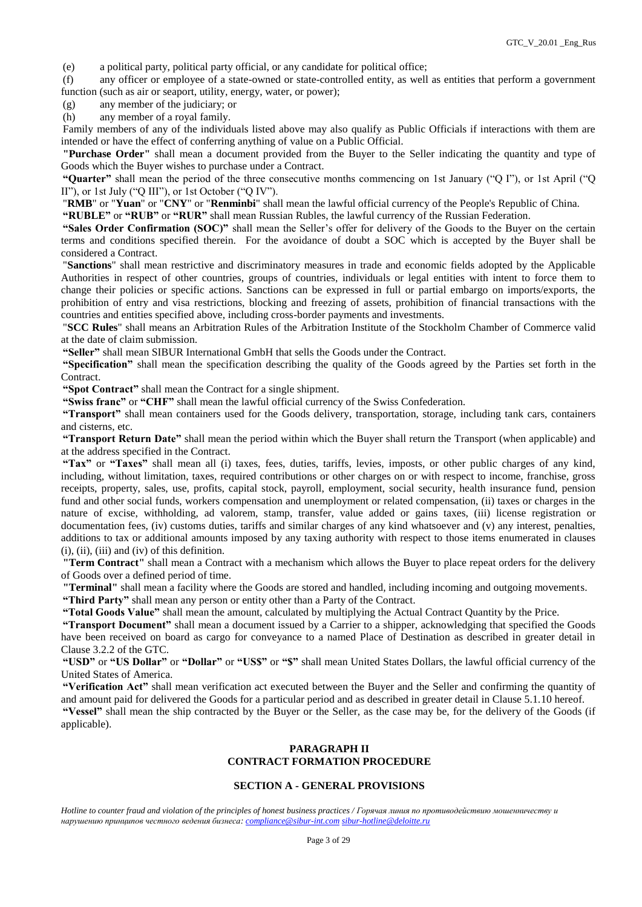(e) a political party, political party official, or any candidate for political office;

(f) any officer or employee of a state-owned or state-controlled entity, as well as entities that perform a government function (such as air or seaport, utility, energy, water, or power);

(g) any member of the judiciary; or

(h) any member of a royal family.

Family members of any of the individuals listed above may also qualify as Public Officials if interactions with them are intended or have the effect of conferring anything of value on a Public Official.

**"Purchase Order"** shall mean a document provided from the Buyer to the Seller indicating the quantity and type of Goods which the Buyer wishes to purchase under a Contract.

**"Quarter"** shall mean the period of the three consecutive months commencing on 1st January ("Q I"), or 1st April ("Q II"), or 1st July ("O III"), or 1st October ("O IV").

"**RMB**" or "**Yuan**" or "**CNY**" or "**Renminbi**" shall mean the lawful official currency of the People's Republic of China.

**"RUBLE"** or **"RUB"** or **"RUR"** shall mean Russian Rubles, the lawful currency of the Russian Federation.

**"Sales Order Confirmation (SOC)"** shall mean the Seller's offer for delivery of the Goods to the Buyer on the certain terms and conditions specified therein. For the avoidance of doubt a SOC which is accepted by the Buyer shall be considered a Contract.

"**Sanctions**" shall mean restrictive and discriminatory measures in trade and economic fields adopted by the Applicable Authorities in respect of other countries, groups of countries, individuals or legal entities with intent to force them to change their policies or specific actions. Sanctions can be expressed in full or partial embargo on imports/exports, the prohibition of entry and visa restrictions, blocking and freezing of assets, prohibition of financial transactions with the countries and entities specified above, including cross-border payments and investments.

"**SCC Rules**" shall means an Arbitration Rules of the Arbitration Institute of the Stockholm Chamber of Commerce valid at the date of claim submission.

**"Seller"** shall mean SIBUR International GmbH that sells the Goods under the Contract.

**"Specification"** shall mean the specification describing the quality of the Goods agreed by the Parties set forth in the Contract.

**"Spot Contract"** shall mean the Contract for a single shipment.

**"Swiss franc"** or **"CHF"** shall mean the lawful official currency of the Swiss Confederation.

**"Transport"** shall mean containers used for the Goods delivery, transportation, storage, including tank cars, containers and cisterns, etc.

**"Transport Return Date"** shall mean the period within which the Buyer shall return the Transport (when applicable) and at the address specified in the Contract.

**"Tax"** or **"Taxes"** shall mean all (i) taxes, fees, duties, tariffs, levies, imposts, or other public charges of any kind, including, without limitation, taxes, required contributions or other charges on or with respect to income, franchise, gross receipts, property, sales, use, profits, capital stock, payroll, employment, social security, health insurance fund, pension fund and other social funds, workers compensation and unemployment or related compensation, (ii) taxes or charges in the nature of excise, withholding, ad valorem, stamp, transfer, value added or gains taxes, (iii) license registration or documentation fees, (iv) customs duties, tariffs and similar charges of any kind whatsoever and (v) any interest, penalties, additions to tax or additional amounts imposed by any taxing authority with respect to those items enumerated in clauses (i), (ii), (iii) and (iv) of this definition.

**"Term Contract"** shall mean a Contract with a mechanism which allows the Buyer to place repeat orders for the delivery of Goods over a defined period of time.

**"Terminal"** shall mean a facility where the Goods are stored and handled, including incoming and outgoing movements.

**"Third Party"** shall mean any person or entity other than a Party of the Contract.

**"Total Goods Value"** shall mean the amount, calculated by multiplying the Actual Contract Quantity by the Price.

**"Transport Document"** shall mean a document issued by a Carrier to a shipper, acknowledging that specified the Goods have been received on board as cargo for conveyance to a named Place of Destination as described in greater detail in Clause 3.2.2 of the GTC.

**"USD"** or **"US Dollar"** or **"Dollar"** or **"US\$"** or **"\$"** shall mean United States Dollars, the lawful official currency of the United States of America.

**"Verification Act"** shall mean verification act executed between the Buyer and the Seller and confirming the quantity of and amount paid for delivered the Goods for a particular period and as described in greater detail in Clause 5.1.10 hereof. **"Vessel"** shall mean the ship contracted by the Buyer or the Seller, as the case may be, for the delivery of the Goods (if applicable).

# **PARAGRAPH II CONTRACT FORMATION PROCEDURE**

## **SECTION A - GENERAL PROVISIONS**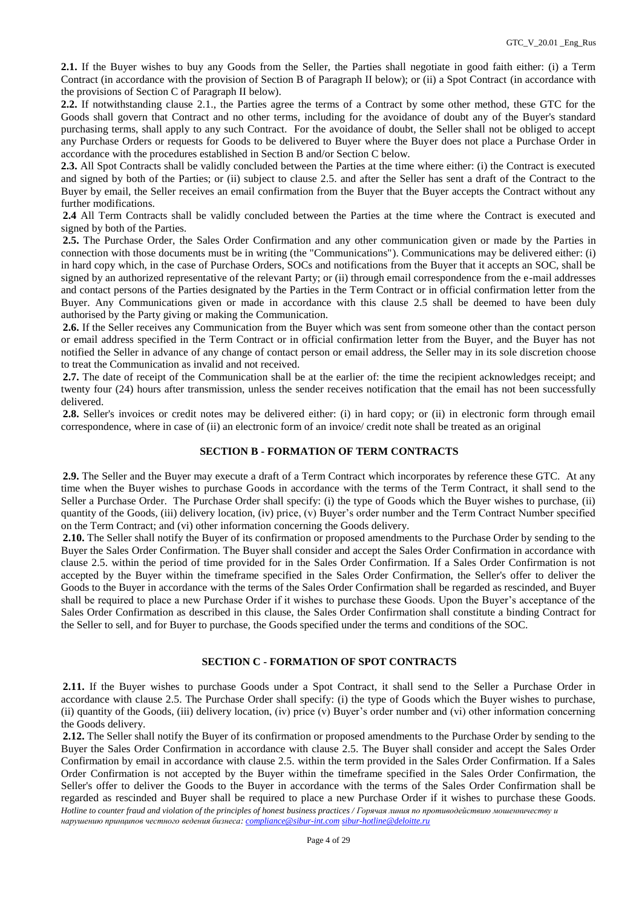**2.1.** If the Buyer wishes to buy any Goods from the Seller, the Parties shall negotiate in good faith either: (i) a Term Contract (in accordance with the provision of Section B of Paragraph II below); or (ii) a Spot Contract (in accordance with the provisions of Section C of Paragraph II below).

**2.2.** If notwithstanding clause 2.1., the Parties agree the terms of a Contract by some other method, these GTC for the Goods shall govern that Contract and no other terms, including for the avoidance of doubt any of the Buyer's standard purchasing terms, shall apply to any such Contract. For the avoidance of doubt, the Seller shall not be obliged to accept any Purchase Orders or requests for Goods to be delivered to Buyer where the Buyer does not place a Purchase Order in accordance with the procedures established in Section B and/or Section C below.

**2.3.** All Spot Contracts shall be validly concluded between the Parties at the time where either: (i) the Contract is executed and signed by both of the Parties; or (ii) subject to clause 2.5. and after the Seller has sent a draft of the Contract to the Buyer by email, the Seller receives an email confirmation from the Buyer that the Buyer accepts the Contract without any further modifications.

**2.4** All Term Contracts shall be validly concluded between the Parties at the time where the Contract is executed and signed by both of the Parties.

**2.5.** The Purchase Order, the Sales Order Confirmation and any other communication given or made by the Parties in connection with those documents must be in writing (the "Communications"). Communications may be delivered either: (i) in hard copy which, in the case of Purchase Orders, SOCs and notifications from the Buyer that it accepts an SOC, shall be signed by an authorized representative of the relevant Party; or (ii) through email correspondence from the e-mail addresses and contact persons of the Parties designated by the Parties in the Term Contract or in official confirmation letter from the Buyer. Any Communications given or made in accordance with this clause 2.5 shall be deemed to have been duly authorised by the Party giving or making the Communication.

**2.6.** If the Seller receives any Communication from the Buyer which was sent from someone other than the contact person or email address specified in the Term Contract or in official confirmation letter from the Buyer, and the Buyer has not notified the Seller in advance of any change of contact person or email address, the Seller may in its sole discretion choose to treat the Communication as invalid and not received.

**2.7.** The date of receipt of the Communication shall be at the earlier of: the time the recipient acknowledges receipt; and twenty four (24) hours after transmission, unless the sender receives notification that the email has not been successfully delivered.

**2.8.** Seller's invoices or credit notes may be delivered either: (i) in hard copy; or (ii) in electronic form through email correspondence, where in case of (ii) an electronic form of an invoice/ credit note shall be treated as an original

## **SECTION B - FORMATION OF TERM CONTRACTS**

**2.9.** The Seller and the Buyer may execute a draft of a Term Contract which incorporates by reference these GTC. At any time when the Buyer wishes to purchase Goods in accordance with the terms of the Term Contract, it shall send to the Seller a Purchase Order. The Purchase Order shall specify: (i) the type of Goods which the Buyer wishes to purchase, (ii) quantity of the Goods, (iii) delivery location, (iv) price, (v) Buyer's order number and the Term Contract Number specified on the Term Contract; and (vi) other information concerning the Goods delivery.

**2.10.** The Seller shall notify the Buyer of its confirmation or proposed amendments to the Purchase Order by sending to the Buyer the Sales Order Confirmation. The Buyer shall consider and accept the Sales Order Confirmation in accordance with clause 2.5. within the period of time provided for in the Sales Order Confirmation. If a Sales Order Confirmation is not accepted by the Buyer within the timeframe specified in the Sales Order Confirmation, the Seller's offer to deliver the Goods to the Buyer in accordance with the terms of the Sales Order Confirmation shall be regarded as rescinded, and Buyer shall be required to place a new Purchase Order if it wishes to purchase these Goods. Upon the Buyer's acceptance of the Sales Order Confirmation as described in this clause, the Sales Order Confirmation shall constitute a binding Contract for the Seller to sell, and for Buyer to purchase, the Goods specified under the terms and conditions of the SOC.

## **SECTION C - FORMATION OF SPOT CONTRACTS**

**2.11.** If the Buyer wishes to purchase Goods under a Spot Contract, it shall send to the Seller a Purchase Order in accordance with clause 2.5. The Purchase Order shall specify: (i) the type of Goods which the Buyer wishes to purchase, (ii) quantity of the Goods, (iii) delivery location, (iv) price (v) Buyer's order number and (vi) other information concerning the Goods delivery.

*Hotline to counter fraud and violation of the principles of honest business practices / Горячая линия по противодействию мошенничеству и нарушению принципов честного ведения бизнеса: [compliance@sibur-int.com](mailto:compliance@sibur-int.com) [sibur-hotline@deloitte.ru](mailto:sibur-hotline@deloitte.ru)* **2.12.** The Seller shall notify the Buyer of its confirmation or proposed amendments to the Purchase Order by sending to the Buyer the Sales Order Confirmation in accordance with clause 2.5. The Buyer shall consider and accept the Sales Order Confirmation by email in accordance with clause 2.5. within the term provided in the Sales Order Confirmation. If a Sales Order Confirmation is not accepted by the Buyer within the timeframe specified in the Sales Order Confirmation, the Seller's offer to deliver the Goods to the Buyer in accordance with the terms of the Sales Order Confirmation shall be regarded as rescinded and Buyer shall be required to place a new Purchase Order if it wishes to purchase these Goods.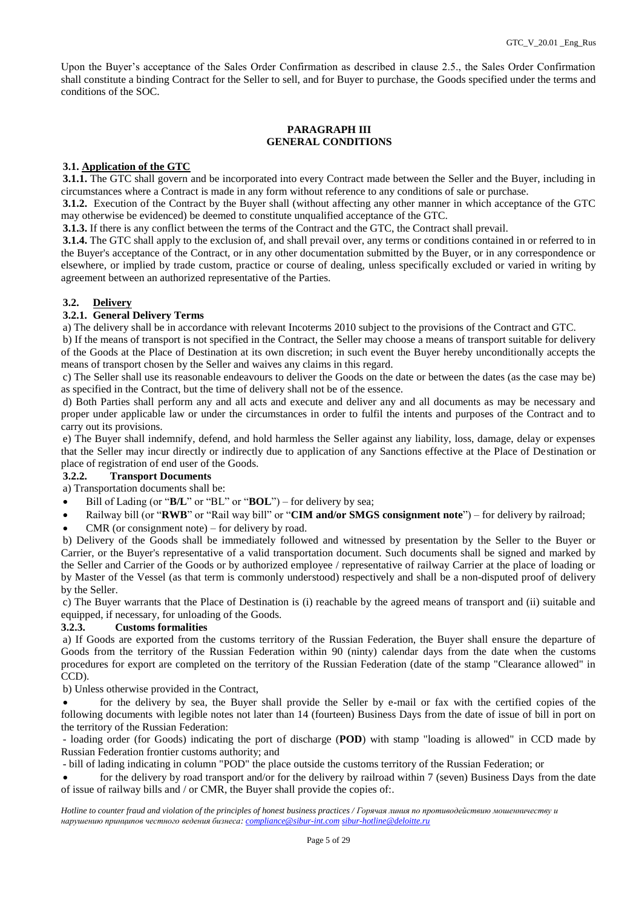Upon the Buyer's acceptance of the Sales Order Confirmation as described in clause 2.5., the Sales Order Confirmation shall constitute a binding Contract for the Seller to sell, and for Buyer to purchase, the Goods specified under the terms and conditions of the SOC.

## **PARAGRAPH III GENERAL CONDITIONS**

## **3.1. Application of the GTC**

**3.1.1.** The GTC shall govern and be incorporated into every Contract made between the Seller and the Buyer, including in circumstances where a Contract is made in any form without reference to any conditions of sale or purchase.

**3.1.2.** Execution of the Contract by the Buyer shall (without affecting any other manner in which acceptance of the GTC may otherwise be evidenced) be deemed to constitute unqualified acceptance of the GTC.

**3.1.3.** If there is any conflict between the terms of the Contract and the GTC, the Contract shall prevail.

**3.1.4.** The GTC shall apply to the exclusion of, and shall prevail over, any terms or conditions contained in or referred to in the Buyer's acceptance of the Contract, or in any other documentation submitted by the Buyer, or in any correspondence or elsewhere, or implied by trade custom, practice or course of dealing, unless specifically excluded or varied in writing by agreement between an authorized representative of the Parties.

## **3.2. Delivery**

## **3.2.1. General Delivery Terms**

a) The delivery shall be in accordance with relevant Incoterms 2010 subject to the provisions of the Contract and GTC.

b) If the means of transport is not specified in the Contract, the Seller may choose a means of transport suitable for delivery of the Goods at the Place of Destination at its own discretion; in such event the Buyer hereby unconditionally accepts the means of transport chosen by the Seller and waives any claims in this regard.

c) The Seller shall use its reasonable endeavours to deliver the Goods on the date or between the dates (as the case may be) as specified in the Contract, but the time of delivery shall not be of the essence.

d) Both Parties shall perform any and all acts and execute and deliver any and all documents as may be necessary and proper under applicable law or under the circumstances in order to fulfil the intents and purposes of the Contract and to carry out its provisions.

e) The Buyer shall indemnify, defend, and hold harmless the Seller against any liability, loss, damage, delay or expenses that the Seller may incur directly or indirectly due to application of any Sanctions effective at the Place of Destination or place of registration of end user of the Goods.

#### **3.2.2. Transport Documents**

a) Transportation documents shall be:

- Bill of Lading (or "**B/L**" or "BL" or "**BOL**") for delivery by sea;
- Railway bill (or "**RWB**" or "Rail way bill" or "**CIM and/or SMGS consignment note**") for delivery by railroad;
- CMR (or consignment note) for delivery by road.

b) Delivery of the Goods shall be immediately followed and witnessed by presentation by the Seller to the Buyer or Carrier, or the Buyer's representative of a valid transportation document. Such documents shall be signed and marked by the Seller and Carrier of the Goods or by authorized employee / representative of railway Carrier at the place of loading or by Master of the Vessel (as that term is commonly understood) respectively and shall be a non-disputed proof of delivery by the Seller.

c) The Buyer warrants that the Place of Destination is (i) reachable by the agreed means of transport and (ii) suitable and equipped, if necessary, for unloading of the Goods.

#### **3.2.3. Customs formalities**

a) If Goods are exported from the customs territory of the Russian Federation, the Buyer shall ensure the departure of Goods from the territory of the Russian Federation within 90 (ninty) calendar days from the date when the customs procedures for export are completed on the territory of the Russian Federation (date of the stamp "Clearance allowed" in CCD).

b) Unless otherwise provided in the Contract,

 for the delivery by sea, the Buyer shall provide the Seller by e-mail or fax with the certified copies of the following documents with legible notes not later than 14 (fourteen) Business Days from the date of issue of bill in port on the territory of the Russian Federation:

- loading order (for Goods) indicating the port of discharge (**POD**) with stamp "loading is allowed" in CCD made by Russian Federation frontier customs authority; and

- bill of lading indicating in column "POD" the place outside the customs territory of the Russian Federation; or

 for the delivery by road transport and/or for the delivery by railroad within 7 (seven) Business Days from the date of issue of railway bills and / or CMR, the Buyer shall provide the copies of:.

*Hotline to counter fraud and violation of the principles of honest business practices / Горячая линия по противодействию мошенничеству и нарушению принципов честного ведения бизнеса: [compliance@sibur-int.com](mailto:compliance@sibur-int.com) [sibur-hotline@deloitte.ru](mailto:sibur-hotline@deloitte.ru)*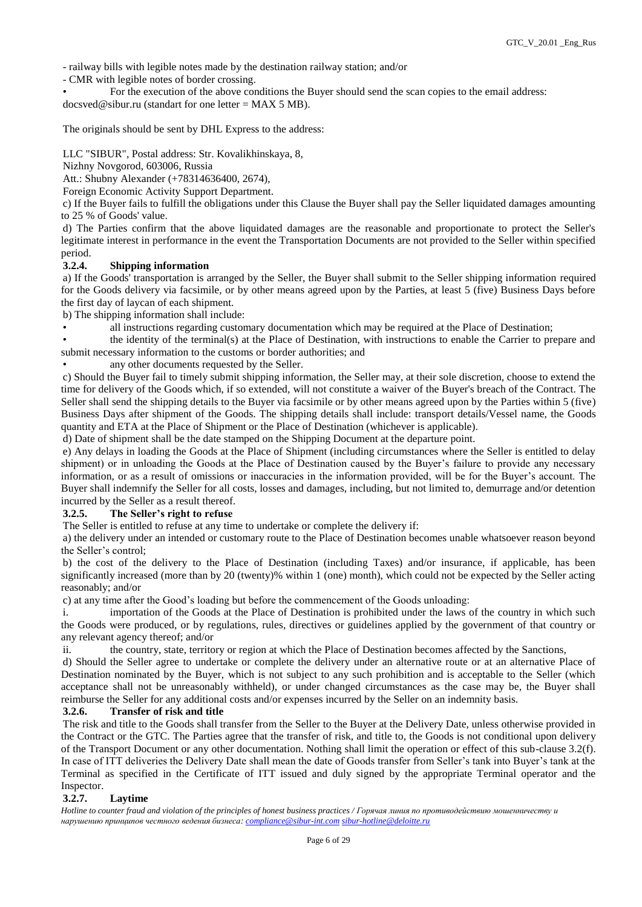- railway bills with legible notes made by the destination railway station; and/or

- CMR with legible notes of border crossing.

• For the execution of the above conditions the Buyer should send the scan copies to the email address: docsved@sibur.ru (standart for one letter = MAX 5 MB).

The originals should be sent by DHL Express to the address:

LLC "SIBUR", Postal address: Str. Kovalikhinskaya, 8,

Nizhny Novgorod, 603006, Russia

Att.: Shubny Alexander (+78314636400, 2674),

Foreign Economic Activity Support Department.

c) If the Buyer fails to fulfill the obligations under this Clause the Buyer shall pay the Seller liquidated damages amounting to 25 % of Goods' value.

d) The Parties confirm that the above liquidated damages are the reasonable and proportionate to protect the Seller's legitimate interest in performance in the event the Transportation Documents are not provided to the Seller within specified period.

## **3.2.4. Shipping information**

a) If the Goods' transportation is arranged by the Seller, the Buyer shall submit to the Seller shipping information required for the Goods delivery via facsimile, or by other means agreed upon by the Parties, at least 5 (five) Business Days before the first day of laycan of each shipment.

b) The shipping information shall include:

all instructions regarding customary documentation which may be required at the Place of Destination;

• the identity of the terminal(s) at the Place of Destination, with instructions to enable the Carrier to prepare and submit necessary information to the customs or border authorities; and

any other documents requested by the Seller.

c) Should the Buyer fail to timely submit shipping information, the Seller may, at their sole discretion, choose to extend the time for delivery of the Goods which, if so extended, will not constitute a waiver of the Buyer's breach of the Contract. The Seller shall send the shipping details to the Buyer via facsimile or by other means agreed upon by the Parties within 5 (five) Business Days after shipment of the Goods. The shipping details shall include: transport details/Vessel name, the Goods quantity and ETA at the Place of Shipment or the Place of Destination (whichever is applicable).

d) Date of shipment shall be the date stamped on the Shipping Document at the departure point.

e) Any delays in loading the Goods at the Place of Shipment (including circumstances where the Seller is entitled to delay shipment) or in unloading the Goods at the Place of Destination caused by the Buyer's failure to provide any necessary information, or as a result of omissions or inaccuracies in the information provided, will be for the Buyer's account. The Buyer shall indemnify the Seller for all costs, losses and damages, including, but not limited to, demurrage and/or detention incurred by the Seller as a result thereof.

#### **3.2.5. The Seller's right to refuse**

The Seller is entitled to refuse at any time to undertake or complete the delivery if:

a) the delivery under an intended or customary route to the Place of Destination becomes unable whatsoever reason beyond the Seller's control;

b) the cost of the delivery to the Place of Destination (including Taxes) and/or insurance, if applicable, has been significantly increased (more than by 20 (twenty)% within 1 (one) month), which could not be expected by the Seller acting reasonably; and/or

c) at any time after the Good's loading but before the commencement of the Goods unloading:

i. importation of the Goods at the Place of Destination is prohibited under the laws of the country in which such the Goods were produced, or by regulations, rules, directives or guidelines applied by the government of that country or any relevant agency thereof; and/or

ii. the country, state, territory or region at which the Place of Destination becomes affected by the Sanctions,

d) Should the Seller agree to undertake or complete the delivery under an alternative route or at an alternative Place of Destination nominated by the Buyer, which is not subject to any such prohibition and is acceptable to the Seller (which acceptance shall not be unreasonably withheld), or under changed circumstances as the case may be, the Buyer shall reimburse the Seller for any additional costs and/or expenses incurred by the Seller on an indemnity basis.

# **3.2.6. Transfer of risk and title**

The risk and title to the Goods shall transfer from the Seller to the Buyer at the Delivery Date, unless otherwise provided in the Contract or the GTC. The Parties agree that the transfer of risk, and title to, the Goods is not conditional upon delivery of the Transport Document or any other documentation. Nothing shall limit the operation or effect of this sub-clause 3.2(f). In case of ITT deliveries the Delivery Date shall mean the date of Goods transfer from Seller's tank into Buyer's tank at the Terminal as specified in the Certificate of ITT issued and duly signed by the appropriate Terminal operator and the Inspector.

# **3.2.7. Laytime**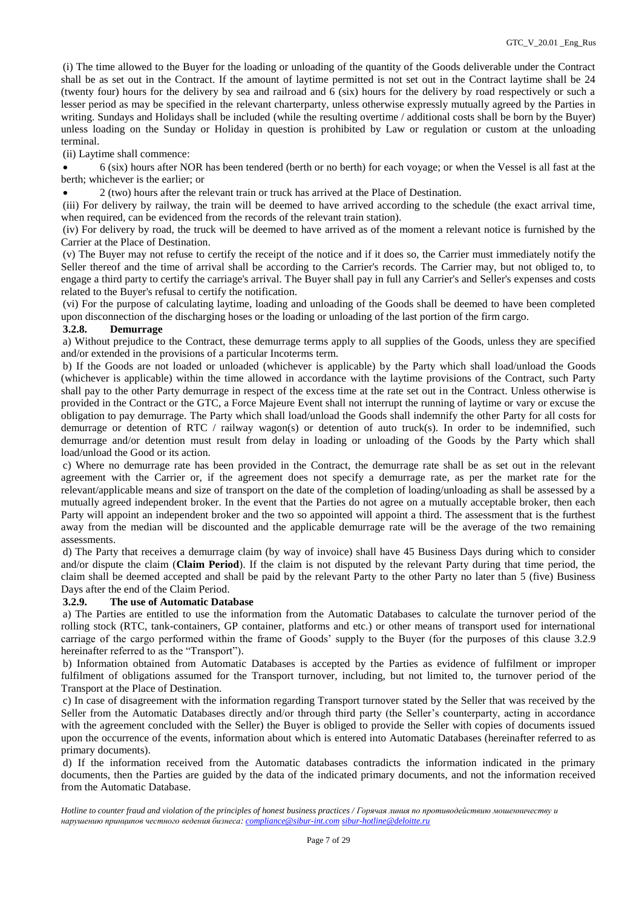(i) The time allowed to the Buyer for the loading or unloading of the quantity of the Goods deliverable under the Contract shall be as set out in the Contract. If the amount of laytime permitted is not set out in the Contract laytime shall be 24 (twenty four) hours for the delivery by sea and railroad and 6 (six) hours for the delivery by road respectively or such a lesser period as may be specified in the relevant charterparty, unless otherwise expressly mutually agreed by the Parties in writing. Sundays and Holidays shall be included (while the resulting overtime / additional costs shall be born by the Buyer) unless loading on the Sunday or Holiday in question is prohibited by Law or regulation or custom at the unloading terminal.

(ii) Laytime shall commence:

 6 (six) hours after NOR has been tendered (berth or no berth) for each voyage; or when the Vessel is all fast at the berth; whichever is the earlier; or

2 (two) hours after the relevant train or truck has arrived at the Place of Destination.

(iii) For delivery by railway, the train will be deemed to have arrived according to the schedule (the exact arrival time, when required, can be evidenced from the records of the relevant train station).

(iv) For delivery by road, the truck will be deemed to have arrived as of the moment a relevant notice is furnished by the Carrier at the Place of Destination.

(v) The Buyer may not refuse to certify the receipt of the notice and if it does so, the Carrier must immediately notify the Seller thereof and the time of arrival shall be according to the Carrier's records. The Carrier may, but not obliged to, to engage a third party to certify the carriage's arrival. The Buyer shall pay in full any Carrier's and Seller's expenses and costs related to the Buyer's refusal to certify the notification.

(vi) For the purpose of calculating laytime, loading and unloading of the Goods shall be deemed to have been completed upon disconnection of the discharging hoses or the loading or unloading of the last portion of the firm cargo.

## **3.2.8. Demurrage**

a) Without prejudice to the Contract, these demurrage terms apply to all supplies of the Goods, unless they are specified and/or extended in the provisions of a particular Incoterms term.

b) If the Goods are not loaded or unloaded (whichever is applicable) by the Party which shall load/unload the Goods (whichever is applicable) within the time allowed in accordance with the laytime provisions of the Contract, such Party shall pay to the other Party demurrage in respect of the excess time at the rate set out in the Contract. Unless otherwise is provided in the Contract or the GTC, a Force Majeure Event shall not interrupt the running of laytime or vary or excuse the obligation to pay demurrage. The Party which shall load/unload the Goods shall indemnify the other Party for all costs for demurrage or detention of RTC / railway wagon(s) or detention of auto truck(s). In order to be indemnified, such demurrage and/or detention must result from delay in loading or unloading of the Goods by the Party which shall load/unload the Good or its action.

c) Where no demurrage rate has been provided in the Contract, the demurrage rate shall be as set out in the relevant agreement with the Carrier or, if the agreement does not specify a demurrage rate, as per the market rate for the relevant/applicable means and size of transport on the date of the completion of loading/unloading as shall be assessed by a mutually agreed independent broker. In the event that the Parties do not agree on a mutually acceptable broker, then each Party will appoint an independent broker and the two so appointed will appoint a third. The assessment that is the furthest away from the median will be discounted and the applicable demurrage rate will be the average of the two remaining assessments.

d) The Party that receives a demurrage claim (by way of invoice) shall have 45 Business Days during which to consider and/or dispute the claim (**Claim Period**). If the claim is not disputed by the relevant Party during that time period, the claim shall be deemed accepted and shall be paid by the relevant Party to the other Party no later than 5 (five) Business Days after the end of the Claim Period.

#### **3.2.9. The use of Automatic Database**

a) The Parties are entitled to use the information from the Automatic Databases to calculate the turnover period of the rolling stock (RTC, tank-containers, GP container, platforms and etc.) or other means of transport used for international carriage of the cargo performed within the frame of Goods' supply to the Buyer (for the purposes of this clause 3.2.9 hereinafter referred to as the "Transport").

b) Information obtained from Automatic Databases is accepted by the Parties as evidence of fulfilment or improper fulfilment of obligations assumed for the Transport turnover, including, but not limited to, the turnover period of the Transport at the Place of Destination.

c) In case of disagreement with the information regarding Transport turnover stated by the Seller that was received by the Seller from the Automatic Databases directly and/or through third party (the Seller's counterparty, acting in accordance with the agreement concluded with the Seller) the Buyer is obliged to provide the Seller with copies of documents issued upon the occurrence of the events, information about which is entered into Automatic Databases (hereinafter referred to as primary documents).

d) If the information received from the Automatic databases contradicts the information indicated in the primary documents, then the Parties are guided by the data of the indicated primary documents, and not the information received from the Automatic Database.

*Hotline to counter fraud and violation of the principles of honest business practices / Горячая линия по противодействию мошенничеству и нарушению принципов честного ведения бизнеса: [compliance@sibur-int.com](mailto:compliance@sibur-int.com) [sibur-hotline@deloitte.ru](mailto:sibur-hotline@deloitte.ru)*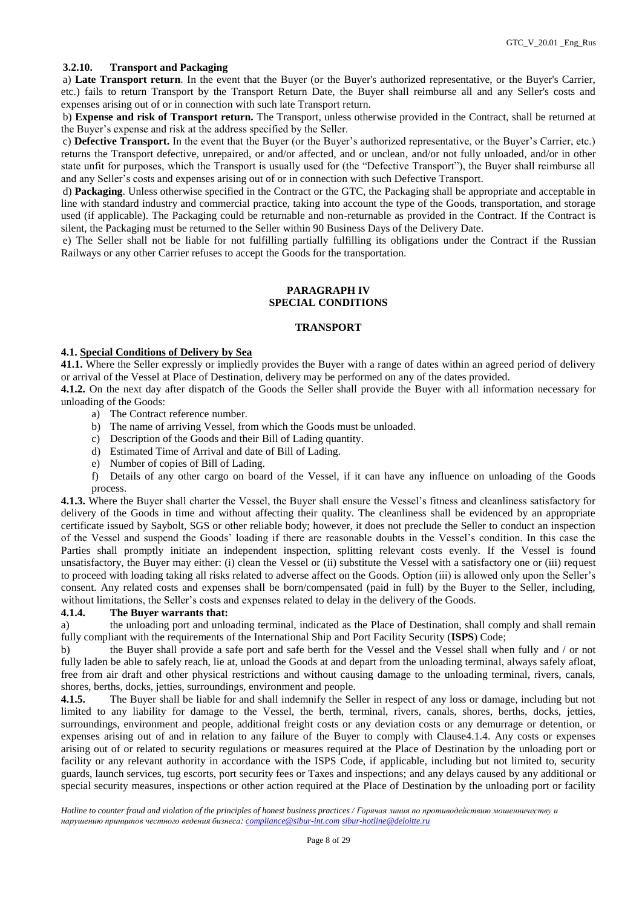## **3.2.10. Transport and Packaging**

a) **Late Transport return**. In the event that the Buyer (or the Buyer's authorized representative, or the Buyer's Carrier, etc.) fails to return Transport by the Transport Return Date, the Buyer shall reimburse all and any Seller's costs and expenses arising out of or in connection with such late Transport return.

b) **Expense and risk of Transport return.** The Transport, unless otherwise provided in the Contract, shall be returned at the Buyer's expense and risk at the address specified by the Seller.

c) **Defective Transport.** In the event that the Buyer (or the Buyer's authorized representative, or the Buyer's Carrier, etc.) returns the Transport defective, unrepaired, or and/or affected, and or unclean, and/or not fully unloaded, and/or in other state unfit for purposes, which the Transport is usually used for (the "Defective Transport"), the Buyer shall reimburse all and any Seller's costs and expenses arising out of or in connection with such Defective Transport.

d) **Packaging**. Unless otherwise specified in the Contract or the GTC, the Packaging shall be appropriate and acceptable in line with standard industry and commercial practice, taking into account the type of the Goods, transportation, and storage used (if applicable). The Packaging could be returnable and non-returnable as provided in the Contract. If the Contract is silent, the Packaging must be returned to the Seller within 90 Business Days of the Delivery Date.

e) The Seller shall not be liable for not fulfilling partially fulfilling its obligations under the Contract if the Russian Railways or any other Carrier refuses to accept the Goods for the transportation.

## **PARAGRAPH IV SPECIAL CONDITIONS**

## **TRANSPORT**

#### **4.1. Special Conditions of Delivery by Sea**

**41.1.** Where the Seller expressly or impliedly provides the Buyer with a range of dates within an agreed period of delivery or arrival of the Vessel at Place of Destination, delivery may be performed on any of the dates provided.

**4.1.2.** On the next day after dispatch of the Goods the Seller shall provide the Buyer with all information necessary for unloading of the Goods:

- a) The Contract reference number.
- b) The name of arriving Vessel, from which the Goods must be unloaded.
- c) Description of the Goods and their Bill of Lading quantity.
- d) Estimated Time of Arrival and date of Bill of Lading.
- e) Number of copies of Bill of Lading.

f) Details of any other cargo on board of the Vessel, if it can have any influence on unloading of the Goods process.

**4.1.3.** Where the Buyer shall charter the Vessel, the Buyer shall ensure the Vessel's fitness and cleanliness satisfactory for delivery of the Goods in time and without affecting their quality. The cleanliness shall be evidenced by an appropriate certificate issued by Saybolt, SGS or other reliable body; however, it does not preclude the Seller to conduct an inspection of the Vessel and suspend the Goods' loading if there are reasonable doubts in the Vessel's condition. In this case the Parties shall promptly initiate an independent inspection, splitting relevant costs evenly. If the Vessel is found unsatisfactory, the Buyer may either: (i) clean the Vessel or (ii) substitute the Vessel with a satisfactory one or (iii) request to proceed with loading taking all risks related to adverse affect on the Goods. Option (iii) is allowed only upon the Seller's consent. Any related costs and expenses shall be born/compensated (paid in full) by the Buyer to the Seller, including, without limitations, the Seller's costs and expenses related to delay in the delivery of the Goods.

#### **4.1.4. The Buyer warrants that:**

a) the unloading port and unloading terminal, indicated as the Place of Destination, shall comply and shall remain fully compliant with the requirements of the International Ship and Port Facility Security (**ISPS**) Code;

b) the Buyer shall provide a safe port and safe berth for the Vessel and the Vessel shall when fully and / or not fully laden be able to safely reach, lie at, unload the Goods at and depart from the unloading terminal, always safely afloat, free from air draft and other physical restrictions and without causing damage to the unloading terminal, rivers, canals, shores, berths, docks, jetties, surroundings, environment and people.

**4.1.5.** The Buyer shall be liable for and shall indemnify the Seller in respect of any loss or damage, including but not limited to any liability for damage to the Vessel, the berth, terminal, rivers, canals, shores, berths, docks, jetties, surroundings, environment and people, additional freight costs or any deviation costs or any demurrage or detention, or expenses arising out of and in relation to any failure of the Buyer to comply with Clause4.1.4. Any costs or expenses arising out of or related to security regulations or measures required at the Place of Destination by the unloading port or facility or any relevant authority in accordance with the ISPS Code, if applicable, including but not limited to, security guards, launch services, tug escorts, port security fees or Taxes and inspections; and any delays caused by any additional or special security measures, inspections or other action required at the Place of Destination by the unloading port or facility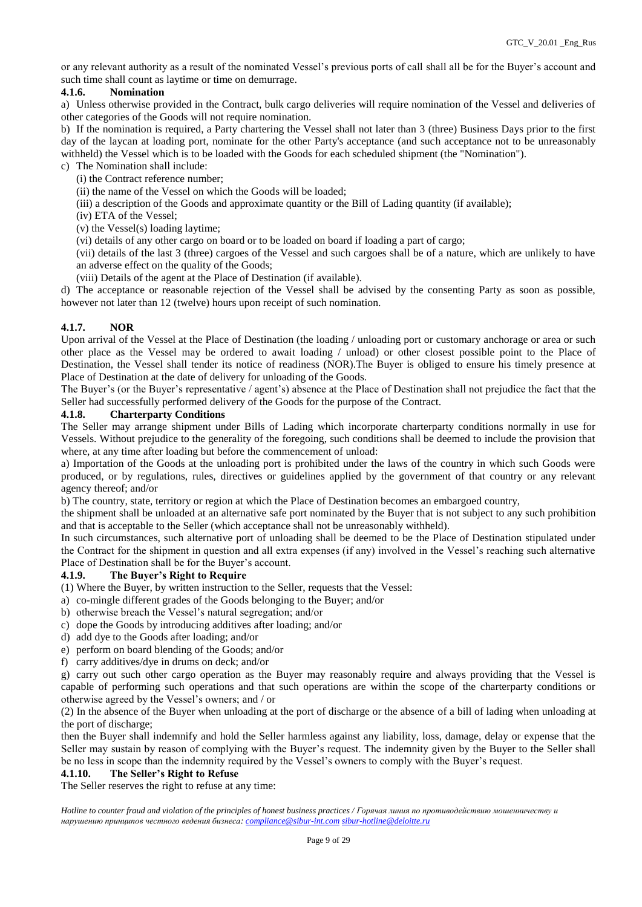or any relevant authority as a result of the nominated Vessel's previous ports of call shall all be for the Buyer's account and such time shall count as laytime or time on demurrage.

## **4.1.6. Nomination**

a) Unless otherwise provided in the Contract, bulk cargo deliveries will require nomination of the Vessel and deliveries of other categories of the Goods will not require nomination.

b) If the nomination is required, a Party chartering the Vessel shall not later than 3 (three) Business Days prior to the first day of the laycan at loading port, nominate for the other Party's acceptance (and such acceptance not to be unreasonably withheld) the Vessel which is to be loaded with the Goods for each scheduled shipment (the "Nomination").

- c) The Nomination shall include:
	- (i) the Contract reference number;
	- (ii) the name of the Vessel on which the Goods will be loaded;
	- (iii) a description of the Goods and approximate quantity or the Bill of Lading quantity (if available);
	- (iv) ETA of the Vessel;
	- (v) the Vessel(s) loading laytime;
	- (vi) details of any other cargo on board or to be loaded on board if loading a part of cargo;

(vii) details of the last 3 (three) cargoes of the Vessel and such cargoes shall be of a nature, which are unlikely to have an adverse effect on the quality of the Goods;

(viii) Details of the agent at the Place of Destination (if available).

d) The acceptance or reasonable rejection of the Vessel shall be advised by the consenting Party as soon as possible, however not later than 12 (twelve) hours upon receipt of such nomination.

## **4.1.7. NOR**

Upon arrival of the Vessel at the Place of Destination (the loading / unloading port or customary anchorage or area or such other place as the Vessel may be ordered to await loading / unload) or other closest possible point to the Place of Destination, the Vessel shall tender its notice of readiness (NOR).The Buyer is obliged to ensure his timely presence at Place of Destination at the date of delivery for unloading of the Goods.

The Buyer's (or the Buyer's representative / agent's) absence at the Place of Destination shall not prejudice the fact that the Seller had successfully performed delivery of the Goods for the purpose of the Contract.

#### **4.1.8. Charterparty Conditions**

The Seller may arrange shipment under Bills of Lading which incorporate charterparty conditions normally in use for Vessels. Without prejudice to the generality of the foregoing, such conditions shall be deemed to include the provision that where, at any time after loading but before the commencement of unload:

a) Importation of the Goods at the unloading port is prohibited under the laws of the country in which such Goods were produced, or by regulations, rules, directives or guidelines applied by the government of that country or any relevant agency thereof; and/or

b) The country, state, territory or region at which the Place of Destination becomes an embargoed country,

the shipment shall be unloaded at an alternative safe port nominated by the Buyer that is not subject to any such prohibition and that is acceptable to the Seller (which acceptance shall not be unreasonably withheld).

In such circumstances, such alternative port of unloading shall be deemed to be the Place of Destination stipulated under the Contract for the shipment in question and all extra expenses (if any) involved in the Vessel's reaching such alternative Place of Destination shall be for the Buyer's account.

#### **4.1.9. The Buyer's Right to Require**

- (1) Where the Buyer, by written instruction to the Seller, requests that the Vessel:
- a) co-mingle different grades of the Goods belonging to the Buyer; and/or
- b) otherwise breach the Vessel's natural segregation; and/or
- c) dope the Goods by introducing additives after loading; and/or
- d) add dye to the Goods after loading; and/or
- e) perform on board blending of the Goods; and/or
- f) carry additives/dye in drums on deck; and/or

g) carry out such other cargo operation as the Buyer may reasonably require and always providing that the Vessel is capable of performing such operations and that such operations are within the scope of the charterparty conditions or otherwise agreed by the Vessel's owners; and / or

(2) In the absence of the Buyer when unloading at the port of discharge or the absence of a bill of lading when unloading at the port of discharge;

then the Buyer shall indemnify and hold the Seller harmless against any liability, loss, damage, delay or expense that the Seller may sustain by reason of complying with the Buyer's request. The indemnity given by the Buyer to the Seller shall be no less in scope than the indemnity required by the Vessel's owners to comply with the Buyer's request.

#### **4.1.10. The Seller's Right to Refuse**

The Seller reserves the right to refuse at any time:

*Hotline to counter fraud and violation of the principles of honest business practices / Горячая линия по противодействию мошенничеству и нарушению принципов честного ведения бизнеса: [compliance@sibur-int.com](mailto:compliance@sibur-int.com) [sibur-hotline@deloitte.ru](mailto:sibur-hotline@deloitte.ru)*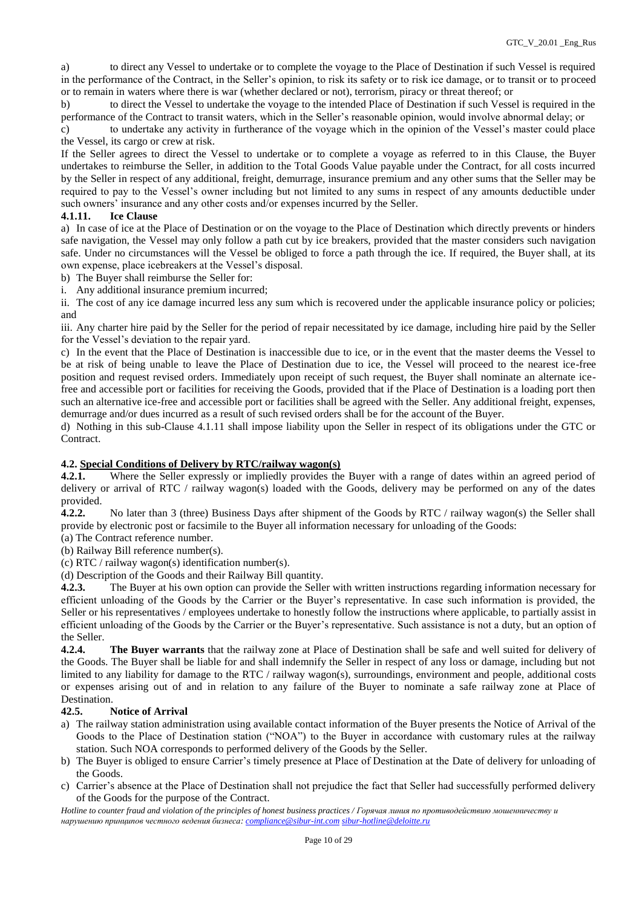a) to direct any Vessel to undertake or to complete the voyage to the Place of Destination if such Vessel is required in the performance of the Contract, in the Seller's opinion, to risk its safety or to risk ice damage, or to transit or to proceed or to remain in waters where there is war (whether declared or not), terrorism, piracy or threat thereof; or

b) to direct the Vessel to undertake the voyage to the intended Place of Destination if such Vessel is required in the performance of the Contract to transit waters, which in the Seller's reasonable opinion, would involve abnormal delay; or

c) to undertake any activity in furtherance of the voyage which in the opinion of the Vessel's master could place the Vessel, its cargo or crew at risk.

If the Seller agrees to direct the Vessel to undertake or to complete a voyage as referred to in this Clause, the Buyer undertakes to reimburse the Seller, in addition to the Total Goods Value payable under the Contract, for all costs incurred by the Seller in respect of any additional, freight, demurrage, insurance premium and any other sums that the Seller may be required to pay to the Vessel's owner including but not limited to any sums in respect of any amounts deductible under such owners' insurance and any other costs and/or expenses incurred by the Seller.

## **4.1.11. Ice Clause**

a) In case of ice at the Place of Destination or on the voyage to the Place of Destination which directly prevents or hinders safe navigation, the Vessel may only follow a path cut by ice breakers, provided that the master considers such navigation safe. Under no circumstances will the Vessel be obliged to force a path through the ice. If required, the Buyer shall, at its own expense, place icebreakers at the Vessel's disposal.

b) The Buyer shall reimburse the Seller for:

i. Any additional insurance premium incurred;

ii. The cost of any ice damage incurred less any sum which is recovered under the applicable insurance policy or policies; and

iii. Any charter hire paid by the Seller for the period of repair necessitated by ice damage, including hire paid by the Seller for the Vessel's deviation to the repair yard.

c) In the event that the Place of Destination is inaccessible due to ice, or in the event that the master deems the Vessel to be at risk of being unable to leave the Place of Destination due to ice, the Vessel will proceed to the nearest ice-free position and request revised orders. Immediately upon receipt of such request, the Buyer shall nominate an alternate icefree and accessible port or facilities for receiving the Goods, provided that if the Place of Destination is a loading port then such an alternative ice-free and accessible port or facilities shall be agreed with the Seller. Any additional freight, expenses, demurrage and/or dues incurred as a result of such revised orders shall be for the account of the Buyer.

d) Nothing in this sub-Clause 4.1.11 shall impose liability upon the Seller in respect of its obligations under the GTC or Contract.

## **4.2. Special Conditions of Delivery by RTC/railway wagon(s)**

**4.2.1.** Where the Seller expressly or impliedly provides the Buyer with a range of dates within an agreed period of delivery or arrival of RTC / railway wagon(s) loaded with the Goods, delivery may be performed on any of the dates provided.

**4.2.2.** No later than 3 (three) Business Days after shipment of the Goods by RTC / railway wagon(s) the Seller shall provide by electronic post or facsimile to the Buyer all information necessary for unloading of the Goods:

(a) The Contract reference number.

(b) Railway Bill reference number(s).

(c) RTC / railway wagon(s) identification number(s).

(d) Description of the Goods and their Railway Bill quantity.

**4.2.3.** The Buyer at his own option can provide the Seller with written instructions regarding information necessary for efficient unloading of the Goods by the Carrier or the Buyer's representative. In case such information is provided, the Seller or his representatives / employees undertake to honestly follow the instructions where applicable, to partially assist in efficient unloading of the Goods by the Carrier or the Buyer's representative. Such assistance is not a duty, but an option of the Seller.

**4.2.4. The Buyer warrants** that the railway zone at Place of Destination shall be safe and well suited for delivery of the Goods. The Buyer shall be liable for and shall indemnify the Seller in respect of any loss or damage, including but not limited to any liability for damage to the RTC / railway wagon(s), surroundings, environment and people, additional costs or expenses arising out of and in relation to any failure of the Buyer to nominate a safe railway zone at Place of Destination.

## **42.5. Notice of Arrival**

- a) The railway station administration using available contact information of the Buyer presents the Notice of Arrival of the Goods to the Place of Destination station ("NOA") to the Buyer in accordance with customary rules at the railway station. Such NOA corresponds to performed delivery of the Goods by the Seller.
- b) The Buyer is obliged to ensure Carrier's timely presence at Place of Destination at the Date of delivery for unloading of the Goods.
- c) Carrier's absence at the Place of Destination shall not prejudice the fact that Seller had successfully performed delivery of the Goods for the purpose of the Contract.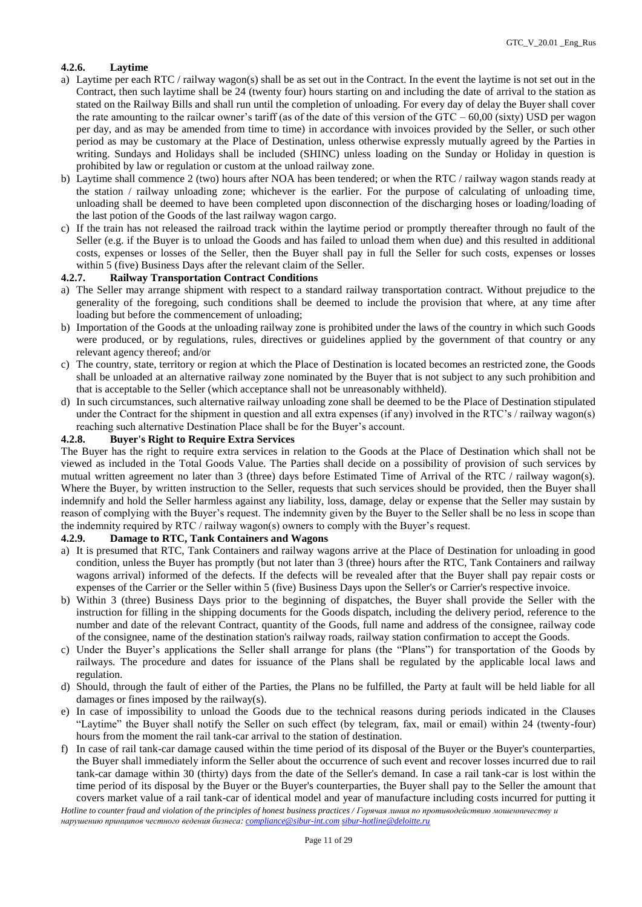## **4.2.6. Laytime**

- a) Laytime per each RTC / railway wagon(s) shall be as set out in the Contract. In the event the laytime is not set out in the Contract, then such laytime shall be 24 (twenty four) hours starting on and including the date of arrival to the station as stated on the Railway Bills and shall run until the completion of unloading. For every day of delay the Buyer shall cover the rate amounting to the railcar owner's tariff (as of the date of this version of the GTC –  $60,00$  (sixty) USD per wagon per day, and as may be amended from time to time) in accordance with invoices provided by the Seller, or such other period as may be customary at the Place of Destination, unless otherwise expressly mutually agreed by the Parties in writing. Sundays and Holidays shall be included (SHINC) unless loading on the Sunday or Holiday in question is prohibited by law or regulation or custom at the unload railway zone.
- b) Laytime shall commence 2 (two) hours after NOA has been tendered; or when the RTC / railway wagon stands ready at the station / railway unloading zone; whichever is the earlier. For the purpose of calculating of unloading time, unloading shall be deemed to have been completed upon disconnection of the discharging hoses or loading/loading of the last potion of the Goods of the last railway wagon cargo.
- c) If the train has not released the railroad track within the laytime period or promptly thereafter through no fault of the Seller (e.g. if the Buyer is to unload the Goods and has failed to unload them when due) and this resulted in additional costs, expenses or losses of the Seller, then the Buyer shall pay in full the Seller for such costs, expenses or losses within 5 (five) Business Days after the relevant claim of the Seller.

#### **4.2.7. Railway Transportation Contract Conditions**

- a) The Seller may arrange shipment with respect to a standard railway transportation contract. Without prejudice to the generality of the foregoing, such conditions shall be deemed to include the provision that where, at any time after loading but before the commencement of unloading;
- b) Importation of the Goods at the unloading railway zone is prohibited under the laws of the country in which such Goods were produced, or by regulations, rules, directives or guidelines applied by the government of that country or any relevant agency thereof; and/or
- c) The country, state, territory or region at which the Place of Destination is located becomes an restricted zone, the Goods shall be unloaded at an alternative railway zone nominated by the Buyer that is not subject to any such prohibition and that is acceptable to the Seller (which acceptance shall not be unreasonably withheld).
- d) In such circumstances, such alternative railway unloading zone shall be deemed to be the Place of Destination stipulated under the Contract for the shipment in question and all extra expenses (if any) involved in the RTC's / railway wagon(s) reaching such alternative Destination Place shall be for the Buyer's account.

#### **4.2.8. Buyer's Right to Require Extra Services**

The Buyer has the right to require extra services in relation to the Goods at the Place of Destination which shall not be viewed as included in the Total Goods Value. The Parties shall decide on a possibility of provision of such services by mutual written agreement no later than 3 (three) days before Estimated Time of Arrival of the RTC / railway wagon(s). Where the Buyer, by written instruction to the Seller, requests that such services should be provided, then the Buyer shall indemnify and hold the Seller harmless against any liability, loss, damage, delay or expense that the Seller may sustain by reason of complying with the Buyer's request. The indemnity given by the Buyer to the Seller shall be no less in scope than the indemnity required by RTC / railway wagon(s) owners to comply with the Buyer's request.

#### **4.2.9. Damage to RTC, Tank Containers and Wagons**

- a) It is presumed that RTC, Tank Containers and railway wagons arrive at the Place of Destination for unloading in good condition, unless the Buyer has promptly (but not later than 3 (three) hours after the RTC, Tank Containers and railway wagons arrival) informed of the defects. If the defects will be revealed after that the Buyer shall pay repair costs or expenses of the Carrier or the Seller within 5 (five) Business Days upon the Seller's or Carrier's respective invoice.
- b) Within 3 (three) Business Days prior to the beginning of dispatches, the Buyer shall provide the Seller with the instruction for filling in the shipping documents for the Goods dispatch, including the delivery period, reference to the number and date of the relevant Contract, quantity of the Goods, full name and address of the consignee, railway code of the consignee, name of the destination station's railway roads, railway station confirmation to accept the Goods.
- c) Under the Buyer's applications the Seller shall arrange for plans (the "Plans") for transportation of the Goods by railways. The procedure and dates for issuance of the Plans shall be regulated by the applicable local laws and regulation.
- d) Should, through the fault of either of the Parties, the Plans no be fulfilled, the Party at fault will be held liable for all damages or fines imposed by the railway(s).
- e) In case of impossibility to unload the Goods due to the technical reasons during periods indicated in the Clauses "Laytime" the Buyer shall notify the Seller on such effect (by telegram, fax, mail or email) within 24 (twenty-four) hours from the moment the rail tank-car arrival to the station of destination.
- f) In case of rail tank-car damage caused within the time period of its disposal of the Buyer or the Buyer's counterparties, the Buyer shall immediately inform the Seller about the occurrence of such event and recover losses incurred due to rail tank-car damage within 30 (thirty) days from the date of the Seller's demand. In case a rail tank-car is lost within the time period of its disposal by the Buyer or the Buyer's counterparties, the Buyer shall pay to the Seller the amount that covers market value of a rail tank-car of identical model and year of manufacture including costs incurred for putting it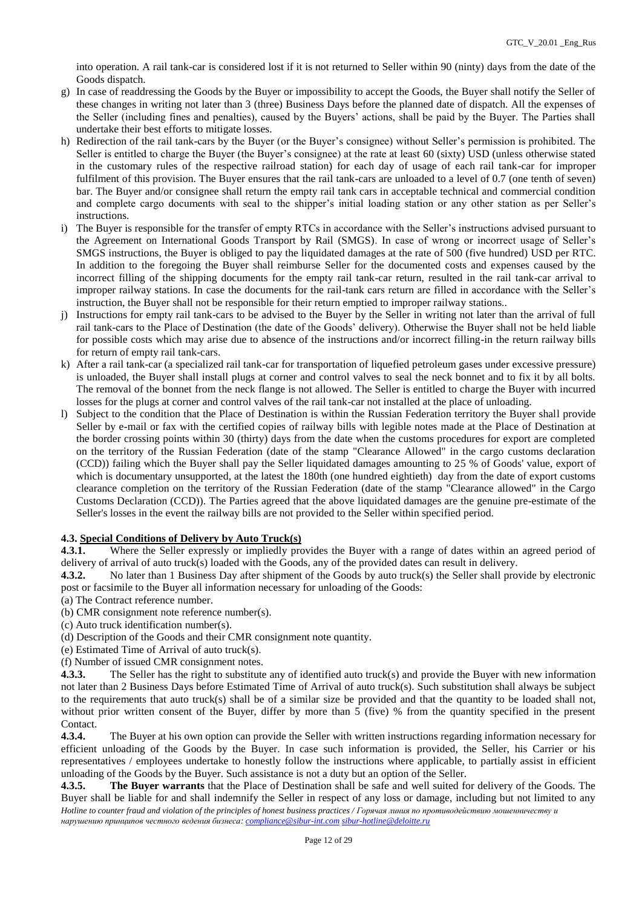into operation. A rail tank-car is considered lost if it is not returned to Seller within 90 (ninty) days from the date of the Goods dispatch.

- g) In case of readdressing the Goods by the Buyer or impossibility to accept the Goods, the Buyer shall notify the Seller of these changes in writing not later than 3 (three) Business Days before the planned date of dispatch. All the expenses of the Seller (including fines and penalties), caused by the Buyers' actions, shall be paid by the Buyer. The Parties shall undertake their best efforts to mitigate losses.
- h) Redirection of the rail tank-cars by the Buyer (or the Buyer's consignee) without Seller's permission is prohibited. The Seller is entitled to charge the Buyer (the Buyer's consignee) at the rate at least 60 (sixty) USD (unless otherwise stated in the customary rules of the respective railroad station) for each day of usage of each rail tank-car for improper fulfilment of this provision. The Buyer ensures that the rail tank-cars are unloaded to a level of 0.7 (one tenth of seven) bar. The Buyer and/or consignee shall return the empty rail tank cars in acceptable technical and commercial condition and complete cargo documents with seal to the shipper's initial loading station or any other station as per Seller's instructions.
- i) The Buyer is responsible for the transfer of empty RTCs in accordance with the Seller's instructions advised pursuant to the Agreement on International Goods Transport by Rail (SMGS). In case of wrong or incorrect usage of Seller's SMGS instructions, the Buyer is obliged to pay the liquidated damages at the rate of 500 (five hundred) USD per RTC. In addition to the foregoing the Buyer shall reimburse Seller for the documented costs and expenses caused by the incorrect filling of the shipping documents for the empty rail tank-car return, resulted in the rail tank-car arrival to improper railway stations. In case the documents for the rail-tank cars return are filled in accordance with the Seller's instruction, the Buyer shall not be responsible for their return emptied to improper railway stations..
- j) Instructions for empty rail tank-cars to be advised to the Buyer by the Seller in writing not later than the arrival of full rail tank-cars to the Place of Destination (the date of the Goods' delivery). Otherwise the Buyer shall not be held liable for possible costs which may arise due to absence of the instructions and/or incorrect filling-in the return railway bills for return of empty rail tank-cars.
- k) After a rail tank-car (a specialized rail tank-car for transportation of liquefied petroleum gases under excessive pressure) is unloaded, the Buyer shall install plugs at corner and control valves to seal the neck bonnet and to fix it by all bolts. The removal of the bonnet from the neck flange is not allowed. The Seller is entitled to charge the Buyer with incurred losses for the plugs at corner and control valves of the rail tank-car not installed at the place of unloading.
- l) Subject to the condition that the Place of Destination is within the Russian Federation territory the Buyer shall provide Seller by e-mail or fax with the certified copies of railway bills with legible notes made at the Place of Destination at the border crossing points within 30 (thirty) days from the date when the customs procedures for export are completed on the territory of the Russian Federation (date of the stamp "Clearance Allowed" in the cargo customs declaration (CCD)) failing which the Buyer shall pay the Seller liquidated damages amounting to 25 % of Goods' value, export of which is documentary unsupported, at the latest the 180th (one hundred eightieth) day from the date of export customs clearance completion on the territory of the Russian Federation (date of the stamp "Clearance allowed" in the Cargo Customs Declaration (CCD)). The Parties agreed that the above liquidated damages are the genuine pre-estimate of the Seller's losses in the event the railway bills are not provided to the Seller within specified period.

## **4.3. Special Conditions of Delivery by Auto Truck(s)**

**4.3.1.** Where the Seller expressly or impliedly provides the Buyer with a range of dates within an agreed period of delivery of arrival of auto truck(s) loaded with the Goods, any of the provided dates can result in delivery.

**4.3.2.** No later than 1 Business Day after shipment of the Goods by auto truck(s) the Seller shall provide by electronic post or facsimile to the Buyer all information necessary for unloading of the Goods:

(a) The Contract reference number.

- (b) CMR consignment note reference number(s).
- (c) Auto truck identification number(s).
- (d) Description of the Goods and their CMR consignment note quantity.
- (e) Estimated Time of Arrival of auto truck(s).
- (f) Number of issued CMR consignment notes.

**4.3.3.** The Seller has the right to substitute any of identified auto truck(s) and provide the Buyer with new information not later than 2 Business Days before Estimated Time of Arrival of auto truck(s). Such substitution shall always be subject to the requirements that auto truck(s) shall be of a similar size be provided and that the quantity to be loaded shall not, without prior written consent of the Buyer, differ by more than 5 (five) % from the quantity specified in the present Contact.

**4.3.4.** The Buyer at his own option can provide the Seller with written instructions regarding information necessary for efficient unloading of the Goods by the Buyer. In case such information is provided, the Seller, his Carrier or his representatives / employees undertake to honestly follow the instructions where applicable, to partially assist in efficient unloading of the Goods by the Buyer. Such assistance is not a duty but an option of the Seller.

*Hotline to counter fraud and violation of the principles of honest business practices / Горячая линия по противодействию мошенничеству и нарушению принципов честного ведения бизнеса: [compliance@sibur-int.com](mailto:compliance@sibur-int.com) [sibur-hotline@deloitte.ru](mailto:sibur-hotline@deloitte.ru)* **4.3.5. The Buyer warrants** that the Place of Destination shall be safe and well suited for delivery of the Goods. The Buyer shall be liable for and shall indemnify the Seller in respect of any loss or damage, including but not limited to any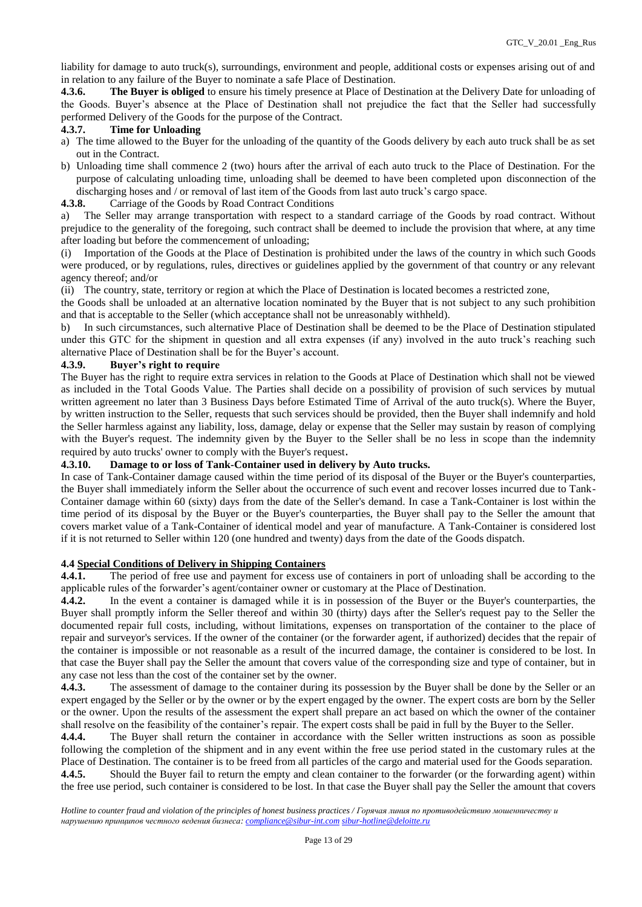liability for damage to auto truck(s), surroundings, environment and people, additional costs or expenses arising out of and in relation to any failure of the Buyer to nominate a safe Place of Destination.

**4.3.6. The Buyer is obliged** to ensure his timely presence at Place of Destination at the Delivery Date for unloading of the Goods. Buyer's absence at the Place of Destination shall not prejudice the fact that the Seller had successfully performed Delivery of the Goods for the purpose of the Contract.

#### **4.3.7. Time for Unloading**

- a) The time allowed to the Buyer for the unloading of the quantity of the Goods delivery by each auto truck shall be as set out in the Contract.
- b) Unloading time shall commence 2 (two) hours after the arrival of each auto truck to the Place of Destination. For the purpose of calculating unloading time, unloading shall be deemed to have been completed upon disconnection of the discharging hoses and / or removal of last item of the Goods from last auto truck's cargo space.
- **4.3.8.** Carriage of the Goods by Road Contract Conditions

a) The Seller may arrange transportation with respect to a standard carriage of the Goods by road contract. Without prejudice to the generality of the foregoing, such contract shall be deemed to include the provision that where, at any time after loading but before the commencement of unloading;

(i) Importation of the Goods at the Place of Destination is prohibited under the laws of the country in which such Goods were produced, or by regulations, rules, directives or guidelines applied by the government of that country or any relevant agency thereof; and/or

(ii) The country, state, territory or region at which the Place of Destination is located becomes a restricted zone,

the Goods shall be unloaded at an alternative location nominated by the Buyer that is not subject to any such prohibition and that is acceptable to the Seller (which acceptance shall not be unreasonably withheld).

b) In such circumstances, such alternative Place of Destination shall be deemed to be the Place of Destination stipulated under this GTC for the shipment in question and all extra expenses (if any) involved in the auto truck's reaching such alternative Place of Destination shall be for the Buyer's account.

## **4.3.9. Buyer's right to require**

The Buyer has the right to require extra services in relation to the Goods at Place of Destination which shall not be viewed as included in the Total Goods Value. The Parties shall decide on a possibility of provision of such services by mutual written agreement no later than 3 Business Days before Estimated Time of Arrival of the auto truck(s). Where the Buyer, by written instruction to the Seller, requests that such services should be provided, then the Buyer shall indemnify and hold the Seller harmless against any liability, loss, damage, delay or expense that the Seller may sustain by reason of complying with the Buyer's request. The indemnity given by the Buyer to the Seller shall be no less in scope than the indemnity required by auto trucks' owner to comply with the Buyer's request.

## **4.3.10. Damage to or loss of Tank-Container used in delivery by Auto trucks.**

In case of Tank-Container damage caused within the time period of its disposal of the Buyer or the Buyer's counterparties, the Buyer shall immediately inform the Seller about the occurrence of such event and recover losses incurred due to Tank-Container damage within 60 (sixty) days from the date of the Seller's demand. In case a Tank-Container is lost within the time period of its disposal by the Buyer or the Buyer's counterparties, the Buyer shall pay to the Seller the amount that covers market value of a Tank-Container of identical model and year of manufacture. A Tank-Container is considered lost if it is not returned to Seller within 120 (one hundred and twenty) days from the date of the Goods dispatch.

#### **4.4 Special Conditions of Delivery in Shipping Containers**

**4.4.1.** The period of free use and payment for excess use of containers in port of unloading shall be according to the applicable rules of the forwarder's agent/container owner or customary at the Place of Destination.

**4.4.2.** In the event a container is damaged while it is in possession of the Buyer or the Buyer's counterparties, the Buyer shall promptly inform the Seller thereof and within 30 (thirty) days after the Seller's request pay to the Seller the documented repair full costs, including, without limitations, expenses on transportation of the container to the place of repair and surveyor's services. If the owner of the container (or the forwarder agent, if authorized) decides that the repair of the container is impossible or not reasonable as a result of the incurred damage, the container is considered to be lost. In that case the Buyer shall pay the Seller the amount that covers value of the corresponding size and type of container, but in any case not less than the cost of the container set by the owner.

**4.4.3.** The assessment of damage to the container during its possession by the Buyer shall be done by the Seller or an expert engaged by the Seller or by the owner or by the expert engaged by the owner. The expert costs are born by the Seller or the owner. Upon the results of the assessment the expert shall prepare an act based on which the owner of the container shall resolve on the feasibility of the container's repair. The expert costs shall be paid in full by the Buyer to the Seller.

**4.4.4.** The Buyer shall return the container in accordance with the Seller written instructions as soon as possible following the completion of the shipment and in any event within the free use period stated in the customary rules at the Place of Destination. The container is to be freed from all particles of the cargo and material used for the Goods separation. **4.4.5.** Should the Buyer fail to return the empty and clean container to the forwarder (or the forwarding agent) within the free use period, such container is considered to be lost. In that case the Buyer shall pay the Seller the amount that covers

*Hotline to counter fraud and violation of the principles of honest business practices / Горячая линия по противодействию мошенничеству и нарушению принципов честного ведения бизнеса: [compliance@sibur-int.com](mailto:compliance@sibur-int.com) [sibur-hotline@deloitte.ru](mailto:sibur-hotline@deloitte.ru)*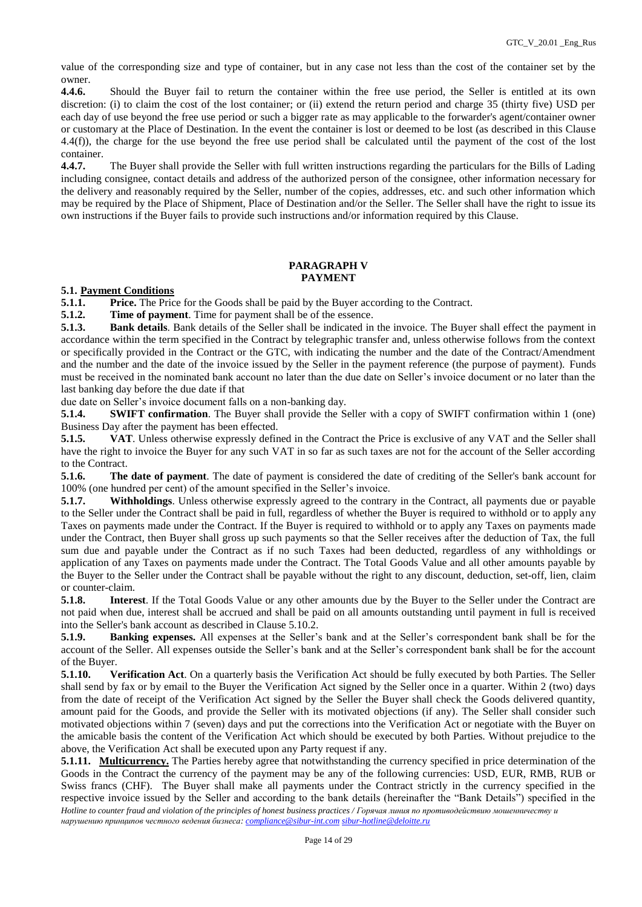value of the corresponding size and type of container, but in any case not less than the cost of the container set by the owner.

**4.4.6.** Should the Buyer fail to return the container within the free use period, the Seller is entitled at its own discretion: (i) to claim the cost of the lost container; or (ii) extend the return period and charge 35 (thirty five) USD per each day of use beyond the free use period or such a bigger rate as may applicable to the forwarder's agent/container owner or customary at the Place of Destination. In the event the container is lost or deemed to be lost (as described in this Clause 4.4(f)), the charge for the use beyond the free use period shall be calculated until the payment of the cost of the lost container.

**4.4.7.** The Buyer shall provide the Seller with full written instructions regarding the particulars for the Bills of Lading including consignee, contact details and address of the authorized person of the consignee, other information necessary for the delivery and reasonably required by the Seller, number of the copies, addresses, etc. and such other information which may be required by the Place of Shipment, Place of Destination and/or the Seller. The Seller shall have the right to issue its own instructions if the Buyer fails to provide such instructions and/or information required by this Clause.

## **PARAGRAPH V PAYMENT**

## **5.1. Payment Conditions**

**5.1.1. Price.** The Price for the Goods shall be paid by the Buyer according to the Contract.

**5.1.2. Time of payment**. Time for payment shall be of the essence.

**5.1.3. Bank details**. Bank details of the Seller shall be indicated in the invoice. The Buyer shall effect the payment in accordance within the term specified in the Contract by telegraphic transfer and, unless otherwise follows from the context or specifically provided in the Contract or the GTC, with indicating the number and the date of the Contract/Amendment and the number and the date of the invoice issued by the Seller in the payment reference (the purpose of payment). Funds must be received in the nominated bank account no later than the due date on Seller's invoice document or no later than the last banking day before the due date if that

due date on Seller's invoice document falls on a non-banking day.

**5.1.4. SWIFT confirmation**. The Buyer shall provide the Seller with a copy of SWIFT confirmation within 1 (one) Business Day after the payment has been effected.

**5.1.5. VAT**. Unless otherwise expressly defined in the Contract the Price is exclusive of any VAT and the Seller shall have the right to invoice the Buyer for any such VAT in so far as such taxes are not for the account of the Seller according to the Contract.

**5.1.6. The date of payment**. The date of payment is considered the date of crediting of the Seller's bank account for 100% (one hundred per cent) of the amount specified in the Seller's invoice.

**5.1.7. Withholdings**. Unless otherwise expressly agreed to the contrary in the Contract, all payments due or payable to the Seller under the Contract shall be paid in full, regardless of whether the Buyer is required to withhold or to apply any Taxes on payments made under the Contract. If the Buyer is required to withhold or to apply any Taxes on payments made under the Contract, then Buyer shall gross up such payments so that the Seller receives after the deduction of Tax, the full sum due and payable under the Contract as if no such Taxes had been deducted, regardless of any withholdings or application of any Taxes on payments made under the Contract. The Total Goods Value and all other amounts payable by the Buyer to the Seller under the Contract shall be payable without the right to any discount, deduction, set-off, lien, claim or counter-claim.

**5.1.8. Interest**. If the Total Goods Value or any other amounts due by the Buyer to the Seller under the Contract are not paid when due, interest shall be accrued and shall be paid on all amounts outstanding until payment in full is received into the Seller's bank account as described in Clause 5.10.2.

**5.1.9. Banking expenses.** All expenses at the Seller's bank and at the Seller's correspondent bank shall be for the account of the Seller. All expenses outside the Seller's bank and at the Seller's correspondent bank shall be for the account of the Buyer.

**5.1.10. Verification Act**. On a quarterly basis the Verification Act should be fully executed by both Parties. The Seller shall send by fax or by email to the Buyer the Verification Act signed by the Seller once in a quarter. Within 2 (two) days from the date of receipt of the Verification Act signed by the Seller the Buyer shall check the Goods delivered quantity, amount paid for the Goods, and provide the Seller with its motivated objections (if any). The Seller shall consider such motivated objections within 7 (seven) days and put the corrections into the Verification Act or negotiate with the Buyer on the amicable basis the content of the Verification Act which should be executed by both Parties. Without prejudice to the above, the Verification Act shall be executed upon any Party request if any.

*Hotline to counter fraud and violation of the principles of honest business practices / Горячая линия по противодействию мошенничеству и нарушению принципов честного ведения бизнеса: [compliance@sibur-int.com](mailto:compliance@sibur-int.com) [sibur-hotline@deloitte.ru](mailto:sibur-hotline@deloitte.ru)* **5.1.11. Multicurrency.** The Parties hereby agree that notwithstanding the currency specified in price determination of the Goods in the Contract the currency of the payment may be any of the following currencies: USD, EUR, RMB, RUB or Swiss francs (CHF). The Buyer shall make all payments under the Contract strictly in the currency specified in the respective invoice issued by the Seller and according to the bank details (hereinafter the "Bank Details") specified in the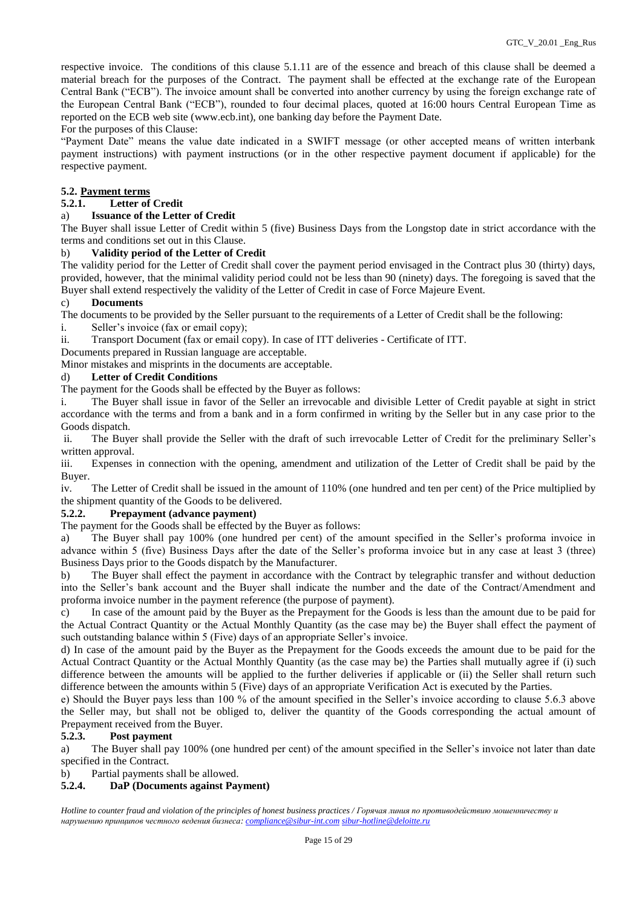respective invoice. The conditions of this clause 5.1.11 are of the essence and breach of this clause shall be deemed a material breach for the purposes of the Contract. The payment shall be effected at the exchange rate of the European Central Bank ("ECB"). The invoice amount shall be converted into another currency by using the foreign exchange rate of the European Central Bank ("ECB"), rounded to four decimal places, quoted at 16:00 hours Central European Time as reported on the ECB web site [\(www.ecb.int\)](https://urldefense.proofpoint.com/v2/url?u=http-3A__www.ecb.int&d=DwMGaQ&c=ptMoEJ5oTofwe4L9tBtGCQ&r=NKFf0xBnqjEI9x7Jy2O4LnREaIU2RCSKwLPa1twtm2k&m=nutHxWE4p16GbrnDEzTBAmAcABmevyKWvts0KDzcvg0&s=p_bgQn342ZRvhTogEJc9-lkNZ6vFQb8aUDkEkUx6vN4&e=), one banking day before the Payment Date.

#### For the purposes of this Clause:

"Payment Date" means the value date indicated in a SWIFT message (or other accepted means of written interbank payment instructions) with payment instructions (or in the other respective payment document if applicable) for the respective payment.

# **5.2. Payment terms**

# **5.2.1. Letter of Credit**

## a) **Issuance of the Letter of Credit**

The Buyer shall issue Letter of Credit within 5 (five) Business Days from the Longstop date in strict accordance with the terms and conditions set out in this Clause.

## b) **Validity period of the Letter of Credit**

The validity period for the Letter of Credit shall cover the payment period envisaged in the Contract plus 30 (thirty) days, provided, however, that the minimal validity period could not be less than 90 (ninety) days. The foregoing is saved that the Buyer shall extend respectively the validity of the Letter of Credit in case of Force Majeure Event.

## c) **Documents**

The documents to be provided by the Seller pursuant to the requirements of a Letter of Credit shall be the following:

i. Seller's invoice (fax or email copy);

ii. Transport Document (fax or email copy). In case of ITT deliveries - Certificate of ITT.

Documents prepared in Russian language are acceptable.

Minor mistakes and misprints in the documents are acceptable.

## d) **Letter of Credit Conditions**

The payment for the Goods shall be effected by the Buyer as follows:

i. The Buyer shall issue in favor of the Seller an irrevocable and divisible Letter of Credit payable at sight in strict accordance with the terms and from a bank and in a form confirmed in writing by the Seller but in any case prior to the Goods dispatch.

ii. The Buyer shall provide the Seller with the draft of such irrevocable Letter of Credit for the preliminary Seller's written approval.

iii. Expenses in connection with the opening, amendment and utilization of the Letter of Credit shall be paid by the Buyer.

iv. The Letter of Credit shall be issued in the amount of 110% (one hundred and ten per cent) of the Price multiplied by the shipment quantity of the Goods to be delivered.

## **5.2.2. Prepayment (advance payment)**

The payment for the Goods shall be effected by the Buyer as follows:

a) The Buyer shall pay 100% (one hundred per cent) of the amount specified in the Seller's proforma invoice in advance within 5 (five) Business Days after the date of the Seller's proforma invoice but in any case at least 3 (three) Business Days prior to the Goods dispatch by the Manufacturer.

b) The Buyer shall effect the payment in accordance with the Contract by telegraphic transfer and without deduction into the Seller's bank account and the Buyer shall indicate the number and the date of the Contract/Amendment and proforma invoice number in the payment reference (the purpose of payment).

c) In case of the amount paid by the Buyer as the Prepayment for the Goods is less than the amount due to be paid for the Actual Contract Quantity or the Actual Monthly Quantity (as the case may be) the Buyer shall effect the payment of such outstanding balance within 5 (Five) days of an appropriate Seller's invoice.

d) In case of the amount paid by the Buyer as the Prepayment for the Goods exceeds the amount due to be paid for the Actual Contract Quantity or the Actual Monthly Quantity (as the case may be) the Parties shall mutually agree if (i) such difference between the amounts will be applied to the further deliveries if applicable or (ii) the Seller shall return such difference between the amounts within 5 (Five) days of an appropriate Verification Act is executed by the Parties.

e) Should the Buyer pays less than 100 % of the amount specified in the Seller's invoice according to clause 5.6.3 above the Seller may, but shall not be obliged to, deliver the quantity of the Goods corresponding the actual amount of Prepayment received from the Buyer.

#### **5.2.3. Post payment**

a) The Buyer shall pay 100% (one hundred per cent) of the amount specified in the Seller's invoice not later than date specified in the Contract.

b) Partial payments shall be allowed.

## **5.2.4. DaP (Documents against Payment)**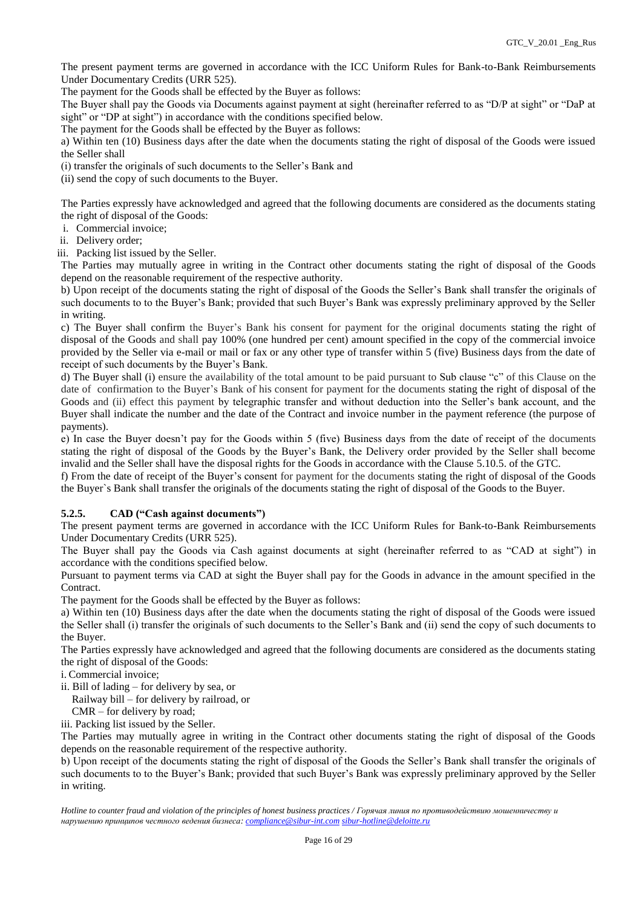The present payment terms are governed in accordance with the ICC Uniform Rules for Bank-to-Bank Reimbursements Under Documentary Credits (URR 525).

The payment for the Goods shall be effected by the Buyer as follows:

The Buyer shall pay the Goods via Documents against payment at sight (hereinafter referred to as "D/P at sight" or "DaP at sight" or "DP at sight") in accordance with the conditions specified below.

The payment for the Goods shall be effected by the Buyer as follows:

a) Within ten (10) Business days after the date when the documents stating the right of disposal of the Goods were issued the Seller shall

(i) transfer the originals of such documents to the Seller's Bank and

(ii) send the copy of such documents to the Buyer.

The Parties expressly have acknowledged and agreed that the following documents are considered as the documents stating the right of disposal of the Goods:

- i. Commercial invoice;
- ii. Delivery order;
- iii. Packing list issued by the Seller.

The Parties may mutually agree in writing in the Contract other documents stating the right of disposal of the Goods depend on the reasonable requirement of the respective authority.

b) Upon receipt of the documents stating the right of disposal of the Goods the Seller's Bank shall transfer the originals of such documents to to the Buyer's Bank; provided that such Buyer's Bank was expressly preliminary approved by the Seller in writing.

c) The Buyer shall confirm the Buyer's Bank his consent for payment for the original documents stating the right of disposal of the Goods and shall pay 100% (one hundred per cent) amount specified in the copy of the commercial invoice provided by the Seller via e-mail or mail or fax or any other type of transfer within 5 (five) Business days from the date of receipt of such documents by the Buyer's Bank.

d) The Buyer shall (i) ensure the availability of the total amount to be paid pursuant to Sub clause "c" of this Clause on the date of confirmation to the Buyer's Bank of his consent for payment for the documents stating the right of disposal of the Goods and (ii) effect this payment by telegraphic transfer and without deduction into the Seller's bank account, and the Buyer shall indicate the number and the date of the Contract and invoice number in the payment reference (the purpose of payments).

e) In case the Buyer doesn't pay for the Goods within 5 (five) Business days from the date of receipt of the documents stating the right of disposal of the Goods by the Buyer's Bank, the Delivery order provided by the Seller shall become invalid and the Seller shall have the disposal rights for the Goods in accordance with the Clause 5.10.5. of the GTC.

f) From the date of receipt of the Buyer's consent for payment for the documents stating the right of disposal of the Goods the Buyer`s Bank shall transfer the originals of the documents stating the right of disposal of the Goods to the Buyer.

## **5.2.5. CAD ("Cash against documents")**

The present payment terms are governed in accordance with the ICC Uniform Rules for Bank-to-Bank Reimbursements Under Documentary Credits (URR 525).

The Buyer shall pay the Goods via Cash against documents at sight (hereinafter referred to as "CAD at sight") in accordance with the conditions specified below.

Pursuant to payment terms via CAD at sight the Buyer shall pay for the Goods in advance in the amount specified in the Contract.

The payment for the Goods shall be effected by the Buyer as follows:

a) Within ten (10) Business days after the date when the documents stating the right of disposal of the Goods were issued the Seller shall (i) transfer the originals of such documents to the Seller's Bank and (ii) send the copy of such documents to the Buyer.

The Parties expressly have acknowledged and agreed that the following documents are considered as the documents stating the right of disposal of the Goods:

i. Commercial invoice;

ii. Bill of lading – for delivery by sea, or

Railway bill – for delivery by railroad, or

CMR – for delivery by road;

iii. Packing list issued by the Seller.

The Parties may mutually agree in writing in the Contract other documents stating the right of disposal of the Goods depends on the reasonable requirement of the respective authority.

b) Upon receipt of the documents stating the right of disposal of the Goods the Seller's Bank shall transfer the originals of such documents to to the Buyer's Bank; provided that such Buyer's Bank was expressly preliminary approved by the Seller in writing.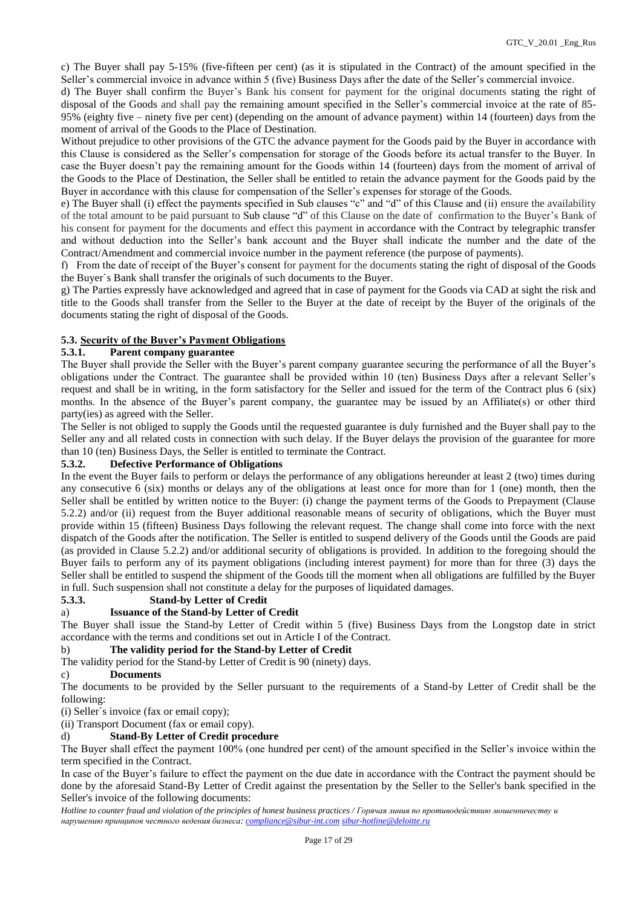c) The Buyer shall pay 5-15% (five-fifteen per cent) (as it is stipulated in the Contract) of the amount specified in the Seller's commercial invoice in advance within 5 (five) Business Days after the date of the Seller's commercial invoice.

d) The Buyer shall confirm the Buyer's Bank his consent for payment for the original documents stating the right of disposal of the Goods and shall pay the remaining amount specified in the Seller's commercial invoice at the rate of 85- 95% (eighty five – ninety five per cent) (depending on the amount of advance payment) within 14 (fourteen) days from the moment of arrival of the Goods to the Place of Destination.

Without prejudice to other provisions of the GTC the advance payment for the Goods paid by the Buyer in accordance with this Clause is considered as the Seller's compensation for storage of the Goods before its actual transfer to the Buyer. In case the Buyer doesn't pay the remaining amount for the Goods within 14 (fourteen) days from the moment of arrival of the Goods to the Place of Destination, the Seller shall be entitled to retain the advance payment for the Goods paid by the Buyer in accordance with this clause for compensation of the Seller's expenses for storage of the Goods.

e) The Buyer shall (i) effect the payments specified in Sub clauses "c" and "d" of this Clause and (ii) ensure the availability of the total amount to be paid pursuant to Sub clause "d" of this Clause on the date of confirmation to the Buyer's Bank of his consent for payment for the documents and effect this payment in accordance with the Contract by telegraphic transfer and without deduction into the Seller's bank account and the Buyer shall indicate the number and the date of the Contract/Amendment and commercial invoice number in the payment reference (the purpose of payments).

f) From the date of receipt of the Buyer's consent for payment for the documents stating the right of disposal of the Goods the Buyer`s Bank shall transfer the originals of such documents to the Buyer.

g) The Parties expressly have acknowledged and agreed that in case of payment for the Goods via CAD at sight the risk and title to the Goods shall transfer from the Seller to the Buyer at the date of receipt by the Buyer of the originals of the documents stating the right of disposal of the Goods.

## **5.3. Security of the Buyer's Payment Obligations**

## **5.3.1. Parent company guarantee**

The Buyer shall provide the Seller with the Buyer's parent company guarantee securing the performance of all the Buyer's obligations under the Contract. The guarantee shall be provided within 10 (ten) Business Days after a relevant Seller's request and shall be in writing, in the form satisfactory for the Seller and issued for the term of the Contract plus 6 (six) months. In the absence of the Buyer's parent company, the guarantee may be issued by an Affiliate(s) or other third party(ies) as agreed with the Seller.

The Seller is not obliged to supply the Goods until the requested guarantee is duly furnished and the Buyer shall pay to the Seller any and all related costs in connection with such delay. If the Buyer delays the provision of the guarantee for more than 10 (ten) Business Days, the Seller is entitled to terminate the Contract.

## **5.3.2. Defective Performance of Obligations**

In the event the Buyer fails to perform or delays the performance of any obligations hereunder at least 2 (two) times during any consecutive 6 (six) months or delays any of the obligations at least once for more than for 1 (one) month, then the Seller shall be entitled by written notice to the Buyer: (i) change the payment terms of the Goods to Prepayment (Clause 5.2.2) and/or (ii) request from the Buyer additional reasonable means of security of obligations, which the Buyer must provide within 15 (fifteen) Business Days following the relevant request. The change shall come into force with the next dispatch of the Goods after the notification. The Seller is entitled to suspend delivery of the Goods until the Goods are paid (as provided in Clause 5.2.2) and/or additional security of obligations is provided. In addition to the foregoing should the Buyer fails to perform any of its payment obligations (including interest payment) for more than for three (3) days the Seller shall be entitled to suspend the shipment of the Goods till the moment when all obligations are fulfilled by the Buyer in full. Such suspension shall not constitute a delay for the purposes of liquidated damages.

## **5.3.3. Stand-by Letter of Credit**

## a) **Issuance of the Stand-by Letter of Credit**

The Buyer shall issue the Stand-by Letter of Credit within 5 (five) Business Days from the Longstop date in strict accordance with the terms and conditions set out in Article I of the Contract.

## b) **The validity period for the Stand-by Letter of Credit**

The validity period for the Stand-by Letter of Credit is 90 (ninety) days.

#### c) **Documents**

The documents to be provided by the Seller pursuant to the requirements of a Stand-by Letter of Credit shall be the following:

(i) Seller`s invoice (fax or email copy);

(ii) Transport Document (fax or email copy).

#### d) **Stand-By Letter of Credit procedure**

The Buyer shall effect the payment 100% (one hundred per cent) of the amount specified in the Seller's invoice within the term specified in the Contract.

In case of the Buyer's failure to effect the payment on the due date in accordance with the Contract the payment should be done by the aforesaid Stand-By Letter of Credit against the presentation by the Seller to the Seller's bank specified in the Seller's invoice of the following documents: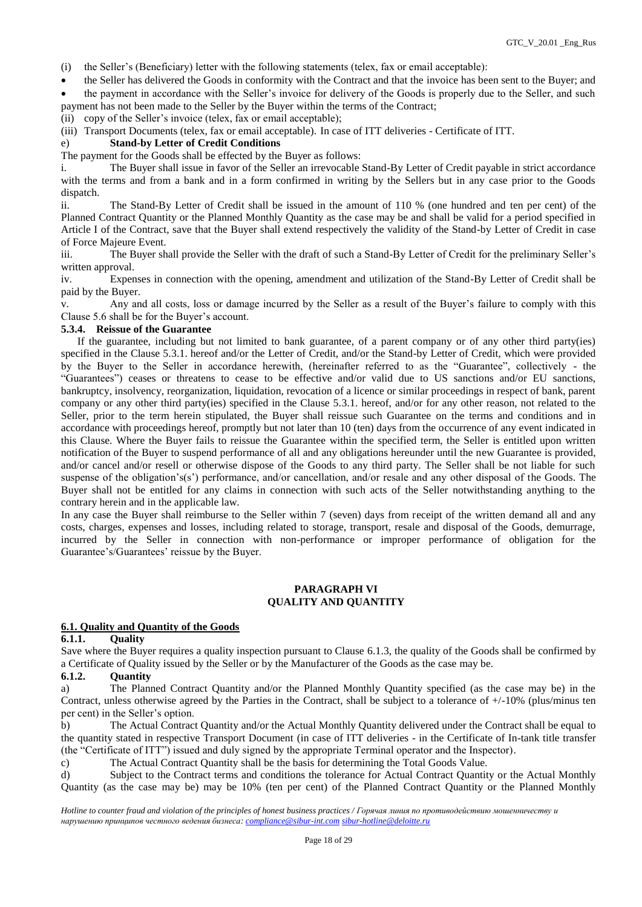(i) the Seller's (Beneficiary) letter with the following statements (telex, fax or email acceptable):

 the Seller has delivered the Goods in conformity with the Contract and that the invoice has been sent to the Buyer; and the payment in accordance with the Seller's invoice for delivery of the Goods is properly due to the Seller, and such payment has not been made to the Seller by the Buyer within the terms of the Contract;

(ii) copy of the Seller's invoice (telex, fax or email acceptable);

(iii) Transport Documents (telex, fax or email acceptable). In case of ITT deliveries - Certificate of ITT.

## e) **Stand-by Letter of Credit Conditions**

The payment for the Goods shall be effected by the Buyer as follows:

i. The Buyer shall issue in favor of the Seller an irrevocable Stand-By Letter of Credit payable in strict accordance with the terms and from a bank and in a form confirmed in writing by the Sellers but in any case prior to the Goods dispatch.

ii. The Stand-By Letter of Credit shall be issued in the amount of 110 % (one hundred and ten per cent) of the Planned Contract Quantity or the Planned Monthly Quantity as the case may be and shall be valid for a period specified in Article I of the Contract, save that the Buyer shall extend respectively the validity of the Stand-by Letter of Credit in case of Force Majeure Event.

iii. The Buyer shall provide the Seller with the draft of such a Stand-By Letter of Credit for the preliminary Seller's written approval.

iv. Expenses in connection with the opening, amendment and utilization of the Stand-By Letter of Credit shall be paid by the Buyer.

v. Any and all costs, loss or damage incurred by the Seller as a result of the Buyer's failure to comply with this Clause 5.6 shall be for the Buyer's account.

#### **5.3.4. Reissue of the Guarantee**

 If the guarantee, including but not limited to bank guarantee, of a parent company or of any other third party(ies) specified in the Clause 5.3.1. hereof and/or the Letter of Credit, and/or the Stand-by Letter of Credit, which were provided by the Buyer to the Seller in accordance herewith, (hereinafter referred to as the "Guarantee", collectively - the "Guarantees") ceases or threatens to cease to be effective and/or valid due to US sanctions and/or EU sanctions, bankruptcy, insolvency, reorganization, liquidation, revocation of a licence or similar proceedings in respect of bank, parent company or any other third party(ies) specified in the Clause 5.3.1. hereof, and/or for any other reason, not related to the Seller, prior to the term herein stipulated, the Buyer shall reissue such Guarantee on the terms and conditions and in accordance with proceedings hereof, promptly but not later than 10 (ten) days from the occurrence of any event indicated in this Clause. Where the Buyer fails to reissue the Guarantee within the specified term, the Seller is entitled upon written notification of the Buyer to suspend performance of all and any obligations hereunder until the new Guarantee is provided, and/or cancel and/or resell or otherwise dispose of the Goods to any third party. The Seller shall be not liable for such suspense of the obligation's(s') performance, and/or cancellation, and/or resale and any other disposal of the Goods. The Buyer shall not be entitled for any claims in connection with such acts of the Seller notwithstanding anything to the contrary herein and in the applicable law.

In any case the Buyer shall reimburse to the Seller within 7 (seven) days from receipt of the written demand all and any costs, charges, expenses and losses, including related to storage, transport, resale and disposal of the Goods, demurrage, incurred by the Seller in connection with non-performance or improper performance of obligation for the Guarantee's/Guarantees' reissue by the Buyer.

## **PARAGRAPH VI QUALITY AND QUANTITY**

#### **6.1. Quality and Quantity of the Goods**

#### **6.1.1. Quality**

Save where the Buyer requires a quality inspection pursuant to Clause 6.1.3, the quality of the Goods shall be confirmed by a Certificate of Quality issued by the Seller or by the Manufacturer of the Goods as the case may be.

## **6.1.2. Quantity**

a) The Planned Contract Quantity and/or the Planned Monthly Quantity specified (as the case may be) in the Contract, unless otherwise agreed by the Parties in the Contract, shall be subject to a tolerance of +/-10% (plus/minus ten per cent) in the Seller's option.

b) The Actual Contract Quantity and/or the Actual Monthly Quantity delivered under the Contract shall be equal to the quantity stated in respective Transport Document (in case of ITT deliveries - in the Certificate of In-tank title transfer (the "Certificate of ITT") issued and duly signed by the appropriate Terminal operator and the Inspector).

c) The Actual Contract Quantity shall be the basis for determining the Total Goods Value.

d) Subject to the Contract terms and conditions the tolerance for Actual Contract Quantity or the Actual Monthly Quantity (as the case may be) may be 10% (ten per cent) of the Planned Contract Quantity or the Planned Monthly

*Hotline to counter fraud and violation of the principles of honest business practices / Горячая линия по противодействию мошенничеству и нарушению принципов честного ведения бизнеса: [compliance@sibur-int.com](mailto:compliance@sibur-int.com) [sibur-hotline@deloitte.ru](mailto:sibur-hotline@deloitte.ru)*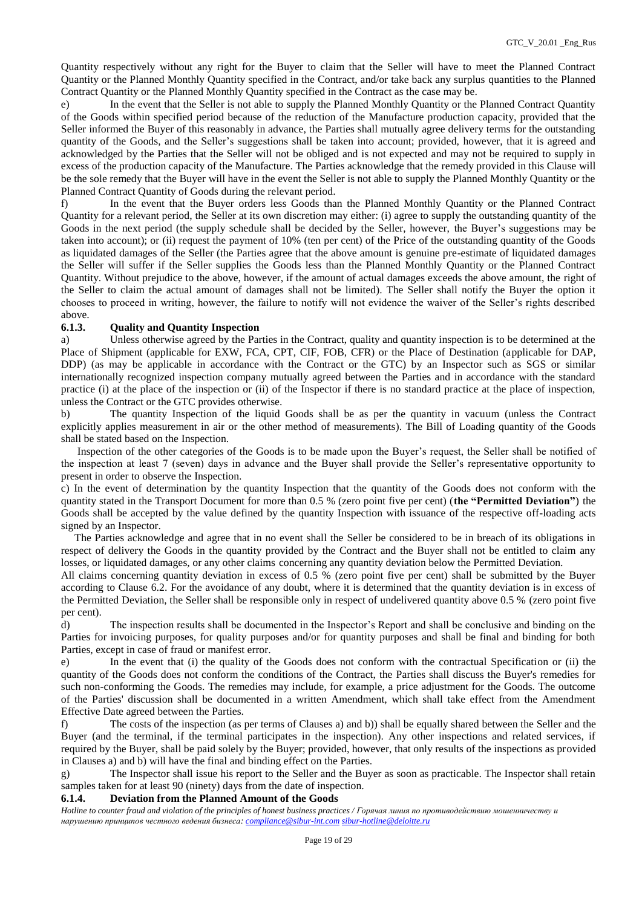Quantity respectively without any right for the Buyer to claim that the Seller will have to meet the Planned Contract Quantity or the Planned Monthly Quantity specified in the Contract, and/or take back any surplus quantities to the Planned Contract Quantity or the Planned Monthly Quantity specified in the Contract as the case may be.

e) In the event that the Seller is not able to supply the Planned Monthly Quantity or the Planned Contract Quantity of the Goods within specified period because of the reduction of the Manufacture production capacity, provided that the Seller informed the Buyer of this reasonably in advance, the Parties shall mutually agree delivery terms for the outstanding quantity of the Goods, and the Seller's suggestions shall be taken into account; provided, however, that it is agreed and acknowledged by the Parties that the Seller will not be obliged and is not expected and may not be required to supply in excess of the production capacity of the Manufacture. The Parties acknowledge that the remedy provided in this Clause will be the sole remedy that the Buyer will have in the event the Seller is not able to supply the Planned Monthly Quantity or the Planned Contract Quantity of Goods during the relevant period.

f) In the event that the Buyer orders less Goods than the Planned Monthly Quantity or the Planned Contract Quantity for a relevant period, the Seller at its own discretion may either: (i) agree to supply the outstanding quantity of the Goods in the next period (the supply schedule shall be decided by the Seller, however, the Buyer's suggestions may be taken into account); or (ii) request the payment of 10% (ten per cent) of the Price of the outstanding quantity of the Goods as liquidated damages of the Seller (the Parties agree that the above amount is genuine pre-estimate of liquidated damages the Seller will suffer if the Seller supplies the Goods less than the Planned Monthly Quantity or the Planned Contract Quantity. Without prejudice to the above, however, if the amount of actual damages exceeds the above amount, the right of the Seller to claim the actual amount of damages shall not be limited). The Seller shall notify the Buyer the option it chooses to proceed in writing, however, the failure to notify will not evidence the waiver of the Seller's rights described above.

## **6.1.3. Quality and Quantity Inspection**

a) Unless otherwise agreed by the Parties in the Contract, quality and quantity inspection is to be determined at the Place of Shipment (applicable for EXW, FCA, CPT, CIF, FOB, CFR) or the Place of Destination (applicable for DAP, DDP) (as may be applicable in accordance with the Contract or the GTC) by an Inspector such as SGS or similar internationally recognized inspection company mutually agreed between the Parties and in accordance with the standard practice (i) at the place of the inspection or (ii) of the Inspector if there is no standard practice at the place of inspection, unless the Contract or the GTC provides otherwise.

b) The quantity Inspection of the liquid Goods shall be as per the quantity in vacuum (unless the Contract explicitly applies measurement in air or the other method of measurements). The Bill of Loading quantity of the Goods shall be stated based on the Inspection.

 Inspection of the other categories of the Goods is to be made upon the Buyer's request, the Seller shall be notified of the inspection at least 7 (seven) days in advance and the Buyer shall provide the Seller's representative opportunity to present in order to observe the Inspection.

c) In the event of determination by the quantity Inspection that the quantity of the Goods does not conform with the quantity stated in the Transport Document for more than 0.5 % (zero point five per cent) (**the "Permitted Deviation"**) the Goods shall be accepted by the value defined by the quantity Inspection with issuance of the respective off-loading acts signed by an Inspector.

 The Parties acknowledge and agree that in no event shall the Seller be considered to be in breach of its obligations in respect of delivery the Goods in the quantity provided by the Contract and the Buyer shall not be entitled to claim any losses, or liquidated damages, or any other claims concerning any quantity deviation below the Permitted Deviation.

All claims concerning quantity deviation in excess of 0.5 % (zero point five per cent) shall be submitted by the Buyer according to Clause 6.2. For the avoidance of any doubt, where it is determined that the quantity deviation is in excess of the Permitted Deviation, the Seller shall be responsible only in respect of undelivered quantity above 0.5 % (zero point five per cent).

d) The inspection results shall be documented in the Inspector's Report and shall be conclusive and binding on the Parties for invoicing purposes, for quality purposes and/or for quantity purposes and shall be final and binding for both Parties, except in case of fraud or manifest error.

e) In the event that (i) the quality of the Goods does not conform with the contractual Specification or (ii) the quantity of the Goods does not conform the conditions of the Contract, the Parties shall discuss the Buyer's remedies for such non-conforming the Goods. The remedies may include, for example, a price adjustment for the Goods. The outcome of the Parties' discussion shall be documented in a written Amendment, which shall take effect from the Amendment Effective Date agreed between the Parties.

f) The costs of the inspection (as per terms of Clauses a) and b)) shall be equally shared between the Seller and the Buyer (and the terminal, if the terminal participates in the inspection). Any other inspections and related services, if required by the Buyer, shall be paid solely by the Buyer; provided, however, that only results of the inspections as provided in Clauses a) and b) will have the final and binding effect on the Parties.

g) The Inspector shall issue his report to the Seller and the Buyer as soon as practicable. The Inspector shall retain samples taken for at least 90 (ninety) days from the date of inspection.

## **6.1.4. Deviation from the Planned Amount of the Goods**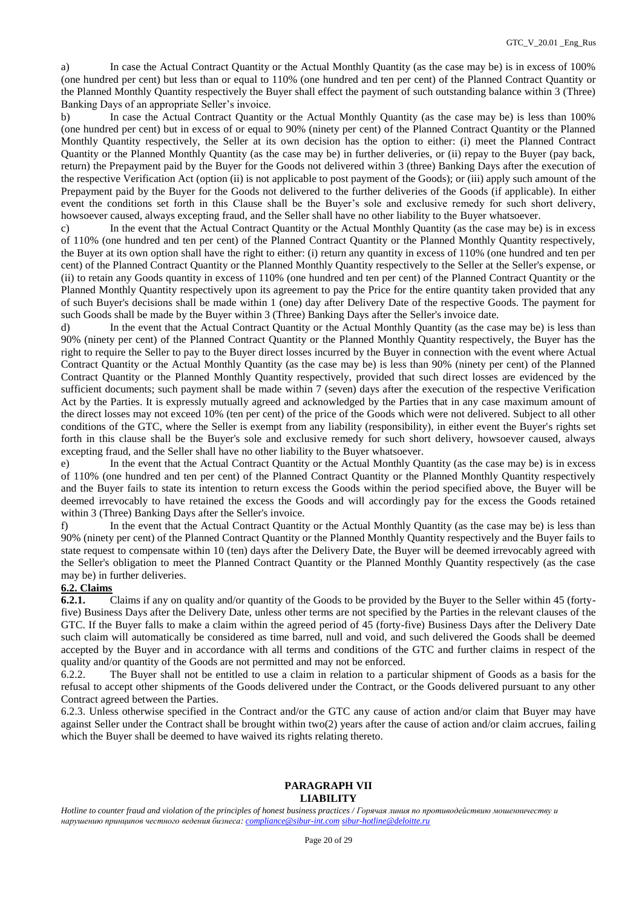a) In case the Actual Contract Quantity or the Actual Monthly Quantity (as the case may be) is in excess of 100% (one hundred per cent) but less than or equal to 110% (one hundred and ten per cent) of the Planned Contract Quantity or the Planned Monthly Quantity respectively the Buyer shall effect the payment of such outstanding balance within 3 (Three) Banking Days of an appropriate Seller's invoice.

b) In case the Actual Contract Quantity or the Actual Monthly Quantity (as the case may be) is less than 100% (one hundred per cent) but in excess of or equal to 90% (ninety per cent) of the Planned Contract Quantity or the Planned Monthly Quantity respectively, the Seller at its own decision has the option to either: (i) meet the Planned Contract Quantity or the Planned Monthly Quantity (as the case may be) in further deliveries, or (ii) repay to the Buyer (pay back, return) the Prepayment paid by the Buyer for the Goods not delivered within 3 (three) Banking Days after the execution of the respective Verification Act (option (ii) is not applicable to post payment of the Goods); or (iii) apply such amount of the Prepayment paid by the Buyer for the Goods not delivered to the further deliveries of the Goods (if applicable). In either event the conditions set forth in this Сlause shall be the Buyer's sole and exclusive remedy for such short delivery, howsoever caused, always excepting fraud, and the Seller shall have no other liability to the Buyer whatsoever.

c) In the event that the Actual Contract Quantity or the Actual Monthly Quantity (as the case may be) is in excess of 110% (one hundred and ten per cent) of the Planned Contract Quantity or the Planned Monthly Quantity respectively, the Buyer at its own option shall have the right to either: (i) return any quantity in excess of 110% (one hundred and ten per cent) of the Planned Contract Quantity or the Planned Monthly Quantity respectively to the Seller at the Seller's expense, or (ii) to retain any Goods quantity in excess of 110% (one hundred and ten per cent) of the Planned Contract Quantity or the Planned Monthly Quantity respectively upon its agreement to pay the Price for the entire quantity taken provided that any of such Buyer's decisions shall be made within 1 (one) day after Delivery Date of the respective Goods. The payment for such Goods shall be made by the Buyer within 3 (Three) Banking Days after the Seller's invoice date.

d) In the event that the Actual Contract Quantity or the Actual Monthly Quantity (as the case may be) is less than 90% (ninety per cent) of the Planned Contract Quantity or the Planned Monthly Quantity respectively, the Buyer has the right to require the Seller to pay to the Buyer direct losses incurred by the Buyer in connection with the event where Actual Contract Quantity or the Actual Monthly Quantity (as the case may be) is less than 90% (ninety per cent) of the Planned Contract Quantity or the Planned Monthly Quantity respectively, provided that such direct losses are evidenced by the sufficient documents; such payment shall be made within 7 (seven) days after the execution of the respective Verification Act by the Parties. It is expressly mutually agreed and acknowledged by the Parties that in any case maximum amount of the direct losses may not exceed 10% (ten per cent) of the price of the Goods which were not delivered. Subject to all other conditions of the GTC, where the Seller is exempt from any liability (responsibility), in either event the Buyer's rights set forth in this clause shall be the Buyer's sole and exclusive remedy for such short delivery, howsoever caused, always excepting fraud, and the Seller shall have no other liability to the Buyer whatsoever.

e) In the event that the Actual Contract Quantity or the Actual Monthly Quantity (as the case may be) is in excess of 110% (one hundred and ten per cent) of the Planned Contract Quantity or the Planned Monthly Quantity respectively and the Buyer fails to state its intention to return excess the Goods within the period specified above, the Buyer will be deemed irrevocably to have retained the excess the Goods and will accordingly pay for the excess the Goods retained within 3 (Three) Banking Days after the Seller's invoice.

f) In the event that the Actual Contract Quantity or the Actual Monthly Quantity (as the case may be) is less than 90% (ninety per cent) of the Planned Contract Quantity or the Planned Monthly Quantity respectively and the Buyer fails to state request to compensate within 10 (ten) days after the Delivery Date, the Buyer will be deemed irrevocably agreed with the Seller's obligation to meet the Planned Contract Quantity or the Planned Monthly Quantity respectively (as the case may be) in further deliveries.

# **6.2. Claims**

**6.2.1.** Claims if any on quality and/or quantity of the Goods to be provided by the Buyer to the Seller within 45 (fortyfive) Business Days after the Delivery Date, unless other terms are not specified by the Parties in the relevant clauses of the GTC. If the Buyer falls to make a claim within the agreed period of 45 (forty-five) Business Days after the Delivery Date such claim will automatically be considered as time barred, null and void, and such delivered the Goods shall be deemed accepted by the Buyer and in accordance with all terms and conditions of the GTC and further claims in respect of the quality and/or quantity of the Goods are not permitted and may not be enforced.

6.2.2. The Buyer shall not be entitled to use a claim in relation to a particular shipment of Goods as a basis for the refusal to accept other shipments of the Goods delivered under the Contract, or the Goods delivered pursuant to any other Contract agreed between the Parties.

6.2.3. Unless otherwise specified in the Contract and/or the GTC any cause of action and/or claim that Buyer may have against Seller under the Contract shall be brought within two(2) years after the cause of action and/or claim accrues, failing which the Buyer shall be deemed to have waived its rights relating thereto.

#### **PARAGRAPH VII LIABILITY**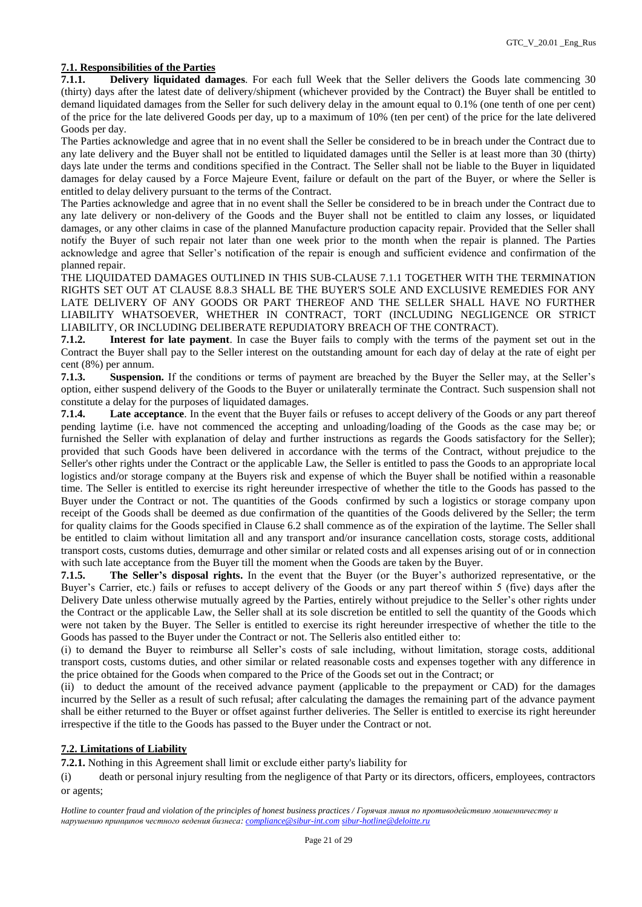## **7.1. Responsibilities of the Parties**

**7.1.1. Delivery liquidated damages**. For each full Week that the Seller delivers the Goods late commencing 30 (thirty) days after the latest date of delivery/shipment (whichever provided by the Contract) the Buyer shall be entitled to demand liquidated damages from the Seller for such delivery delay in the amount equal to 0.1% (one tenth of one per cent) of the price for the late delivered Goods per day, up to a maximum of 10% (ten per cent) of the price for the late delivered Goods per day.

The Parties acknowledge and agree that in no event shall the Seller be considered to be in breach under the Contract due to any late delivery and the Buyer shall not be entitled to liquidated damages until the Seller is at least more than 30 (thirty) days late under the terms and conditions specified in the Contract. The Seller shall not be liable to the Buyer in liquidated damages for delay caused by a Force Majeure Event, failure or default on the part of the Buyer, or where the Seller is entitled to delay delivery pursuant to the terms of the Contract.

The Parties acknowledge and agree that in no event shall the Seller be considered to be in breach under the Contract due to any late delivery or non-delivery of the Goods and the Buyer shall not be entitled to claim any losses, or liquidated damages, or any other claims in case of the planned Manufacture production capacity repair. Provided that the Seller shall notify the Buyer of such repair not later than one week prior to the month when the repair is planned. The Parties acknowledge and agree that Seller's notification of the repair is enough and sufficient evidence and confirmation of the planned repair.

THE LIQUIDATED DAMAGES OUTLINED IN THIS SUB-CLAUSE 7.1.1 TOGETHER WITH THE TERMINATION RIGHTS SET OUT AT CLAUSE 8.8.3 SHALL BE THE BUYER'S SOLE AND EXCLUSIVE REMEDIES FOR ANY LATE DELIVERY OF ANY GOODS OR PART THEREOF AND THE SELLER SHALL HAVE NO FURTHER LIABILITY WHATSOEVER, WHETHER IN CONTRACT, TORT (INCLUDING NEGLIGENCE OR STRICT LIABILITY, OR INCLUDING DELIBERATE REPUDIATORY BREACH OF THE CONTRACT).

**7.1.2. Interest for late payment**. In case the Buyer fails to comply with the terms of the payment set out in the Contract the Buyer shall pay to the Seller interest on the outstanding amount for each day of delay at the rate of eight per cent (8%) per annum.

**7.1.3. Suspension.** If the conditions or terms of payment are breached by the Buyer the Seller may, at the Seller's option, either suspend delivery of the Goods to the Buyer or unilaterally terminate the Contract. Such suspension shall not constitute a delay for the purposes of liquidated damages.

**7.1.4. Late acceptance**. In the event that the Buyer fails or refuses to accept delivery of the Goods or any part thereof pending laytime (i.e. have not commenced the accepting and unloading/loading of the Goods as the case may be; or furnished the Seller with explanation of delay and further instructions as regards the Goods satisfactory for the Seller); provided that such Goods have been delivered in accordance with the terms of the Contract, without prejudice to the Seller's other rights under the Contract or the applicable Law, the Seller is entitled to pass the Goods to an appropriate local logistics and/or storage company at the Buyers risk and expense of which the Buyer shall be notified within a reasonable time. The Seller is entitled to exercise its right hereunder irrespective of whether the title to the Goods has passed to the Buyer under the Contract or not. The quantities of the Goods confirmed by such a logistics or storage company upon receipt of the Goods shall be deemed as due confirmation of the quantities of the Goods delivered by the Seller; the term for quality claims for the Goods specified in Clause 6.2 shall commence as of the expiration of the laytime. The Seller shall be entitled to claim without limitation all and any transport and/or insurance cancellation costs, storage costs, additional transport costs, customs duties, demurrage and other similar or related costs and all expenses arising out of or in connection with such late acceptance from the Buyer till the moment when the Goods are taken by the Buyer.

**7.1.5. The Seller's disposal rights.** In the event that the Buyer (or the Buyer's authorized representative, or the Buyer's Carrier, etc.) fails or refuses to accept delivery of the Goods or any part thereof within 5 (five) days after the Delivery Date unless otherwise mutually agreed by the Parties, entirely without prejudice to the Seller's other rights under the Contract or the applicable Law, the Seller shall at its sole discretion be entitled to sell the quantity of the Goods which were not taken by the Buyer. The Seller is entitled to exercise its right hereunder irrespective of whether the title to the Goods has passed to the Buyer under the Contract or not. The Selleris also entitled either to:

(i) to demand the Buyer to reimburse all Seller's costs of sale including, without limitation, storage costs, additional transport costs, customs duties, and other similar or related reasonable costs and expenses together with any difference in the price obtained for the Goods when compared to the Price of the Goods set out in the Contract; or

(ii) to deduct the amount of the received advance payment (applicable to the prepayment or CAD) for the damages incurred by the Seller as a result of such refusal; after calculating the damages the remaining part of the advance payment shall be either returned to the Buyer or offset against further deliveries. The Seller is entitled to exercise its right hereunder irrespective if the title to the Goods has passed to the Buyer under the Contract or not.

#### **7.2. Limitations of Liability**

**7.2.1.** Nothing in this Agreement shall limit or exclude either party's liability for

(i) death or personal injury resulting from the negligence of that Party or its directors, officers, employees, contractors or agents;

*Hotline to counter fraud and violation of the principles of honest business practices / Горячая линия по противодействию мошенничеству и нарушению принципов честного ведения бизнеса: [compliance@sibur-int.com](mailto:compliance@sibur-int.com) [sibur-hotline@deloitte.ru](mailto:sibur-hotline@deloitte.ru)*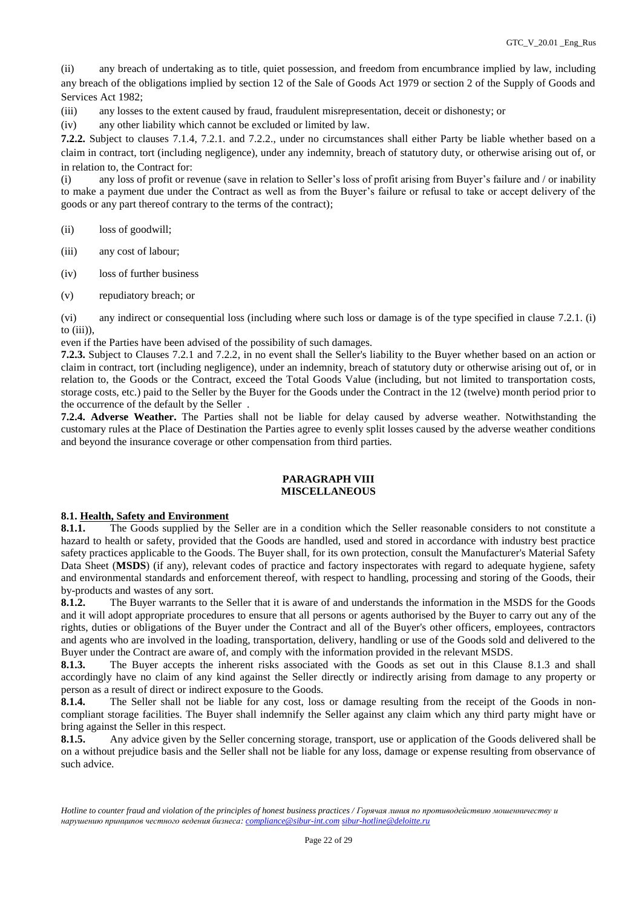(ii) any breach of undertaking as to title, quiet possession, and freedom from encumbrance implied by law, including any breach of the obligations implied by section 12 of the Sale of Goods Act 1979 or section 2 of the Supply of Goods and Services Act 1982;

(iii) any losses to the extent caused by fraud, fraudulent misrepresentation, deceit or dishonesty; or

(iv) any other liability which cannot be excluded or limited by law.

**7.2.2.** Subject to clauses 7.1.4, 7.2.1. and 7.2.2., under no circumstances shall either Party be liable whether based on a claim in contract, tort (including negligence), under any indemnity, breach of statutory duty, or otherwise arising out of, or in relation to, the Contract for:

(i) any loss of profit or revenue (save in relation to Seller's loss of profit arising from Buyer's failure and / or inability to make a payment due under the Contract as well as from the Buyer's failure or refusal to take or accept delivery of the goods or any part thereof contrary to the terms of the contract);

(ii) loss of goodwill;

- (iii) any cost of labour;
- (iv) loss of further business
- (v) repudiatory breach; or

(vi) any indirect or consequential loss (including where such loss or damage is of the type specified in clause 7.2.1. (i) to  $(iii)$ ),

even if the Parties have been advised of the possibility of such damages.

**7.2.3.** Subject to Clauses 7.2.1 and 7.2.2, in no event shall the Seller's liability to the Buyer whether based on an action or claim in contract, tort (including negligence), under an indemnity, breach of statutory duty or otherwise arising out of, or in relation to, the Goods or the Contract, exceed the Total Goods Value (including, but not limited to transportation costs, storage costs, etc.) paid to the Seller by the Buyer for the Goods under the Contract in the 12 (twelve) month period prior to the occurrence of the default by the Seller .

**7.2.4. Adverse Weather.** The Parties shall not be liable for delay caused by adverse weather. Notwithstanding the customary rules at the Place of Destination the Parties agree to evenly split losses caused by the adverse weather conditions and beyond the insurance coverage or other compensation from third parties.

#### **PARAGRAPH VIII MISCELLANEOUS**

#### **8.1. Health, Safety and Environment**

**8.1.1.** The Goods supplied by the Seller are in a condition which the Seller reasonable considers to not constitute a hazard to health or safety, provided that the Goods are handled, used and stored in accordance with industry best practice safety practices applicable to the Goods. The Buyer shall, for its own protection, consult the Manufacturer's Material Safety Data Sheet (**MSDS**) (if any), relevant codes of practice and factory inspectorates with regard to adequate hygiene, safety and environmental standards and enforcement thereof, with respect to handling, processing and storing of the Goods, their by-products and wastes of any sort.

**8.1.2.** The Buyer warrants to the Seller that it is aware of and understands the information in the MSDS for the Goods and it will adopt appropriate procedures to ensure that all persons or agents authorised by the Buyer to carry out any of the rights, duties or obligations of the Buyer under the Contract and all of the Buyer's other officers, employees, contractors and agents who are involved in the loading, transportation, delivery, handling or use of the Goods sold and delivered to the Buyer under the Contract are aware of, and comply with the information provided in the relevant MSDS.

**8.1.3.** The Buyer accepts the inherent risks associated with the Goods as set out in this Clause 8.1.3 and shall accordingly have no claim of any kind against the Seller directly or indirectly arising from damage to any property or person as a result of direct or indirect exposure to the Goods.

**8.1.4.** The Seller shall not be liable for any cost, loss or damage resulting from the receipt of the Goods in noncompliant storage facilities. The Buyer shall indemnify the Seller against any claim which any third party might have or bring against the Seller in this respect.

**8.1.5.** Any advice given by the Seller concerning storage, transport, use or application of the Goods delivered shall be on a without prejudice basis and the Seller shall not be liable for any loss, damage or expense resulting from observance of such advice.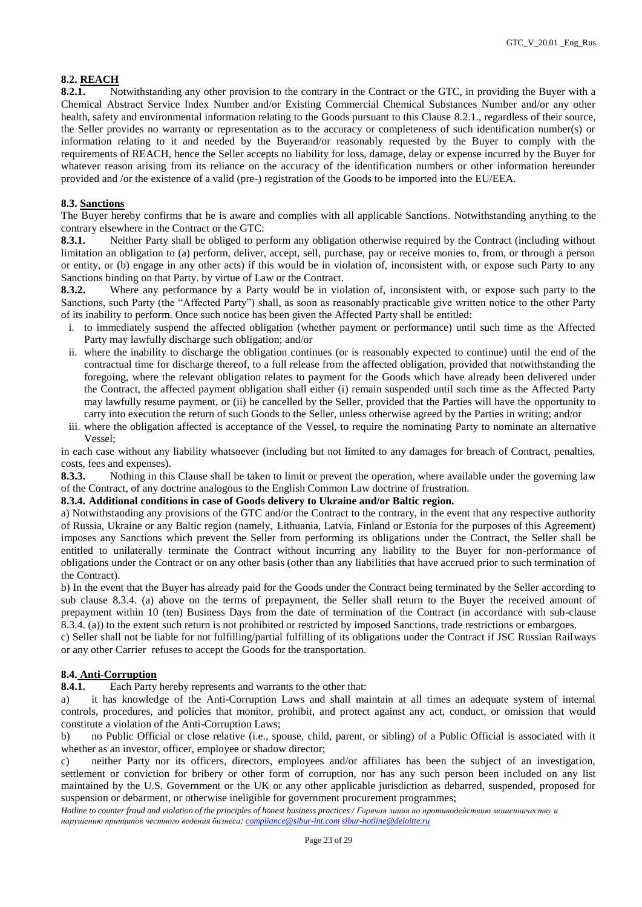## **8.2. REACH**

**8.2.1.** Notwithstanding any other provision to the contrary in the Contract or the GTC, in providing the Buyer with a Chemical Abstract Service Index Number and/or Existing Commercial Chemical Substances Number and/or any other health, safety and environmental information relating to the Goods pursuant to this Clause 8.2.1., regardless of their source, the Seller provides no warranty or representation as to the accuracy or completeness of such identification number(s) or information relating to it and needed by the Buyerand/or reasonably requested by the Buyer to comply with the requirements of REACH, hence the Seller accepts no liability for loss, damage, delay or expense incurred by the Buyer for whatever reason arising from its reliance on the accuracy of the identification numbers or other information hereunder provided and /or the existence of a valid (pre-) registration of the Goods to be imported into the EU/EEA.

## **8.3. Sanctions**

The Buyer hereby confirms that he is aware and complies with all applicable Sanctions. Notwithstanding anything to the contrary elsewhere in the Contract or the GTC:

**8.3.1.** Neither Party shall be obliged to perform any obligation otherwise required by the Contract (including without limitation an obligation to (a) perform, deliver, accept, sell, purchase, pay or receive monies to, from, or through a person or entity, or (b) engage in any other acts) if this would be in violation of, inconsistent with, or expose such Party to any Sanctions binding on that Party. by virtue of Law or the Contract.

**8.3.2.** Where any performance by a Party would be in violation of, inconsistent with, or expose such party to the Sanctions, such Party (the "Affected Party") shall, as soon as reasonably practicable give written notice to the other Party of its inability to perform. Once such notice has been given the Affected Party shall be entitled:

- i. to immediately suspend the affected obligation (whether payment or performance) until such time as the Affected Party may lawfully discharge such obligation; and/or
- ii. where the inability to discharge the obligation continues (or is reasonably expected to continue) until the end of the contractual time for discharge thereof, to a full release from the affected obligation, provided that notwithstanding the foregoing, where the relevant obligation relates to payment for the Goods which have already been delivered under the Contract, the affected payment obligation shall either (i) remain suspended until such time as the Affected Party may lawfully resume payment, or (ii) be cancelled by the Seller, provided that the Parties will have the opportunity to carry into execution the return of such Goods to the Seller, unless otherwise agreed by the Parties in writing; and/or
- iii. where the obligation affected is acceptance of the Vessel, to require the nominating Party to nominate an alternative Vessel;

in each case without any liability whatsoever (including but not limited to any damages for breach of Contract, penalties, costs, fees and expenses).

**8.3.3.** Nothing in this Clause shall be taken to limit or prevent the operation, where available under the governing law of the Contract, of any doctrine analogous to the English Common Law doctrine of frustration.

#### **8.3.4. Additional conditions in case of Goods delivery to Ukraine and/or Baltic region.**

a) Notwithstanding any provisions of the GTC and/or the Contract to the contrary, in the event that any respective authority of Russia, Ukraine or any Baltic region (namely, Lithuania, Latvia, Finland or Estonia for the purposes of this Agreement) imposes any Sanctions which prevent the Seller from performing its obligations under the Contract, the Seller shall be entitled to unilaterally terminate the Contract without incurring any liability to the Buyer for non-performance of obligations under the Contract or on any other basis (other than any liabilities that have accrued prior to such termination of the Contract).

b) In the event that the Buyer has already paid for the Goods under the Contract being terminated by the Seller according to sub clause 8.3.4. (a) above on the terms of prepayment, the Seller shall return to the Buyer the received amount of prepayment within 10 (ten) Business Days from the date of termination of the Contract (in accordance with sub-clause 8.3.4. (a)) to the extent such return is not prohibited or restricted by imposed Sanctions, trade restrictions or embargoes.

c) Seller shall not be liable for not fulfilling/partial fulfilling of its obligations under the Contract if JSC Russian Railways or any other Carrier refuses to accept the Goods for the transportation.

#### **8.4. Anti-Corruption**

**8.4.1.** Each Party hereby represents and warrants to the other that:

a) it has knowledge of the Anti-Corruption Laws and shall maintain at all times an adequate system of internal controls, procedures, and policies that monitor, prohibit, and protect against any act, conduct, or omission that would constitute a violation of the Anti-Corruption Laws;

b) no Public Official or close relative (i.e., spouse, child, parent, or sibling) of a Public Official is associated with it whether as an investor, officer, employee or shadow director;

c) neither Party nor its officers, directors, employees and/or affiliates has been the subject of an investigation, settlement or conviction for bribery or other form of corruption, nor has any such person been included on any list maintained by the U.S. Government or the UK or any other applicable jurisdiction as debarred, suspended, proposed for suspension or debarment, or otherwise ineligible for government procurement programmes;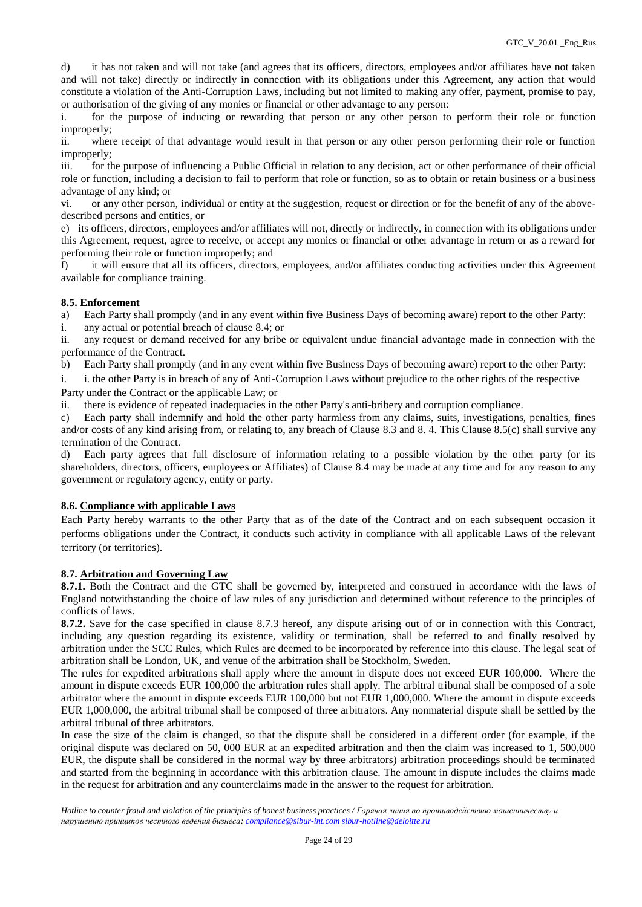d) it has not taken and will not take (and agrees that its officers, directors, employees and/or affiliates have not taken and will not take) directly or indirectly in connection with its obligations under this Agreement, any action that would constitute a violation of the Anti-Corruption Laws, including but not limited to making any offer, payment, promise to pay, or authorisation of the giving of any monies or financial or other advantage to any person:

i. for the purpose of inducing or rewarding that person or any other person to perform their role or function improperly;

ii. where receipt of that advantage would result in that person or any other person performing their role or function improperly;

iii. for the purpose of influencing a Public Official in relation to any decision, act or other performance of their official role or function, including a decision to fail to perform that role or function, so as to obtain or retain business or a business advantage of any kind; or

vi. or any other person, individual or entity at the suggestion, request or direction or for the benefit of any of the abovedescribed persons and entities, or

e) its officers, directors, employees and/or affiliates will not, directly or indirectly, in connection with its obligations under this Agreement, request, agree to receive, or accept any monies or financial or other advantage in return or as a reward for performing their role or function improperly; and

f) it will ensure that all its officers, directors, employees, and/or affiliates conducting activities under this Agreement available for compliance training.

# **8.5. Enforcement**

a) Each Party shall promptly (and in any event within five Business Days of becoming aware) report to the other Party:

i. any actual or potential breach of clause 8.4; or

ii. any request or demand received for any bribe or equivalent undue financial advantage made in connection with the performance of the Contract.

b) Each Party shall promptly (and in any event within five Business Days of becoming aware) report to the other Party:

i. i. the other Party is in breach of any of Anti-Corruption Laws without prejudice to the other rights of the respective Party under the Contract or the applicable Law; or

ii. there is evidence of repeated inadequacies in the other Party's anti-bribery and corruption compliance.

c) Each party shall indemnify and hold the other party harmless from any claims, suits, investigations, penalties, fines and/or costs of any kind arising from, or relating to, any breach of Clause 8.3 and 8. 4. This Clause 8.5(c) shall survive any termination of the Contract.

d) Each party agrees that full disclosure of information relating to a possible violation by the other party (or its shareholders, directors, officers, employees or Affiliates) of Clause 8.4 may be made at any time and for any reason to any government or regulatory agency, entity or party.

## **8.6. Compliance with applicable Laws**

Each Party hereby warrants to the other Party that as of the date of the Contract and on each subsequent occasion it performs obligations under the Contract, it conducts such activity in compliance with all applicable Laws of the relevant territory (or territories).

## **8.7. Arbitration and Governing Law**

**8.7.1.** Both the Contract and the GTC shall be governed by, interpreted and construed in accordance with the laws of England notwithstanding the choice of law rules of any jurisdiction and determined without reference to the principles of conflicts of laws.

**8.7.2.** Save for the case specified in clause 8.7.3 hereof, any dispute arising out of or in connection with this Contract, including any question regarding its existence, validity or termination, shall be referred to and finally resolved by arbitration under the SCC Rules, which Rules are deemed to be incorporated by reference into this clause. The legal seat of arbitration shall be London, UK, and venue of the arbitration shall be Stockholm, Sweden.

The rules for expedited arbitrations shall apply where the amount in dispute does not exceed EUR 100,000. Where the amount in dispute exceeds EUR 100,000 the arbitration rules shall apply. The arbitral tribunal shall be composed of a sole arbitrator where the amount in dispute exceeds EUR 100,000 but not EUR 1,000,000. Where the amount in dispute exceeds EUR 1,000,000, the arbitral tribunal shall be composed of three arbitrators. Any nonmaterial dispute shall be settled by the arbitral tribunal of three arbitrators.

In case the size of the claim is changed, so that the dispute shall be considered in a different order (for example, if the original dispute was declared on 50, 000 EUR at an expedited arbitration and then the claim was increased to 1, 500,000 EUR, the dispute shall be considered in the normal way by three arbitrators) arbitration proceedings should be terminated and started from the beginning in accordance with this arbitration clause. The amount in dispute includes the claims made in the request for arbitration and any counterclaims made in the answer to the request for arbitration.

*Hotline to counter fraud and violation of the principles of honest business practices / Горячая линия по противодействию мошенничеству и нарушению принципов честного ведения бизнеса: [compliance@sibur-int.com](mailto:compliance@sibur-int.com) [sibur-hotline@deloitte.ru](mailto:sibur-hotline@deloitte.ru)*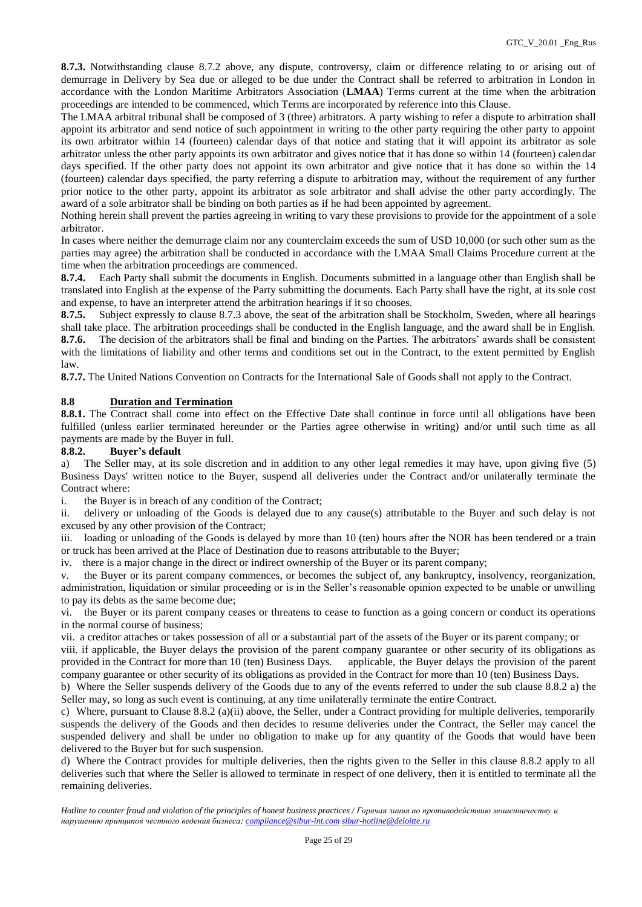**8.7.3.** Notwithstanding clause 8.7.2 above, any dispute, controversy, claim or difference relating to or arising out of demurrage in Delivery by Sea due or alleged to be due under the Contract shall be referred to arbitration in London in accordance with the London Maritime Arbitrators Association (**LMAA**) Terms current at the time when the arbitration proceedings are intended to be commenced, which Terms are incorporated by reference into this Clause.

The LMAA arbitral tribunal shall be composed of 3 (three) arbitrators. A party wishing to refer a dispute to arbitration shall appoint its arbitrator and send notice of such appointment in writing to the other party requiring the other party to appoint its own arbitrator within 14 (fourteen) calendar days of that notice and stating that it will appoint its arbitrator as sole arbitrator unless the other party appoints its own arbitrator and gives notice that it has done so within 14 (fourteen) calendar days specified. If the other party does not appoint its own arbitrator and give notice that it has done so within the 14 (fourteen) calendar days specified, the party referring a dispute to arbitration may, without the requirement of any further prior notice to the other party, appoint its arbitrator as sole arbitrator and shall advise the other party accordingly. The award of a sole arbitrator shall be binding on both parties as if he had been appointed by agreement.

Nothing herein shall prevent the parties agreeing in writing to vary these provisions to provide for the appointment of a sole arbitrator.

In cases where neither the demurrage claim nor any counterclaim exceeds the sum of USD 10,000 (or such other sum as the parties may agree) the arbitration shall be conducted in accordance with the LMAA Small Claims Procedure current at the time when the arbitration proceedings are commenced.

**8.7.4.** Each Party shall submit the documents in English. Documents submitted in a language other than English shall be translated into English at the expense of the Party submitting the documents. Each Party shall have the right, at its sole cost and expense, to have an interpreter attend the arbitration hearings if it so chooses.

**8.7.5.** Subject expressly to clause 8.7.3 above, the seat of the arbitration shall be Stockholm, Sweden, where all hearings shall take place. The arbitration proceedings shall be conducted in the English language, and the award shall be in English. **8.7.6.** The decision of the arbitrators shall be final and binding on the Parties. The arbitrators' awards shall be consistent with the limitations of liability and other terms and conditions set out in the Contract, to the extent permitted by English law.

**8.7.7.** The United Nations Convention on Contracts for the International Sale of Goods shall not apply to the Contract.

## **8.8 Duration and Termination**

**8.8.1.** The Contract shall come into effect on the Effective Date shall continue in force until all obligations have been fulfilled (unless earlier terminated hereunder or the Parties agree otherwise in writing) and/or until such time as all payments are made by the Buyer in full.

## **8.8.2. Buyer's default**

a) The Seller may, at its sole discretion and in addition to any other legal remedies it may have, upon giving five (5) Business Days' written notice to the Buyer, suspend all deliveries under the Contract and/or unilaterally terminate the Contract where:

i. the Buyer is in breach of any condition of the Contract;

ii. delivery or unloading of the Goods is delayed due to any cause(s) attributable to the Buyer and such delay is not excused by any other provision of the Contract;

iii. loading or unloading of the Goods is delayed by more than 10 (ten) hours after the NOR has been tendered or a train or truck has been arrived at the Place of Destination due to reasons attributable to the Buyer;

iv. there is a major change in the direct or indirect ownership of the Buyer or its parent company;

v. the Buyer or its parent company commences, or becomes the subject of, any bankruptcy, insolvency, reorganization, administration, liquidation or similar proceeding or is in the Seller's reasonable opinion expected to be unable or unwilling to pay its debts as the same become due;

vi. the Buyer or its parent company ceases or threatens to cease to function as a going concern or conduct its operations in the normal course of business;

vii. a creditor attaches or takes possession of all or a substantial part of the assets of the Buyer or its parent company; or

viii. if applicable, the Buyer delays the provision of the parent company guarantee or other security of its obligations as provided in the Contract for more than 10 (ten) Business Days. applicable, the Buyer delays the provision of the parent company guarantee or other security of its obligations as provided in the Contract for more than 10 (ten) Business Days.

b) Where the Seller suspends delivery of the Goods due to any of the events referred to under the sub clause 8.8.2 a) the Seller may, so long as such event is continuing, at any time unilaterally terminate the entire Contract.

c) Where, pursuant to Clause 8.8.2 (a)(ii) above, the Seller, under a Contract providing for multiple deliveries, temporarily suspends the delivery of the Goods and then decides to resume deliveries under the Contract, the Seller may cancel the suspended delivery and shall be under no obligation to make up for any quantity of the Goods that would have been delivered to the Buyer but for such suspension.

d) Where the Contract provides for multiple deliveries, then the rights given to the Seller in this clause 8.8.2 apply to all deliveries such that where the Seller is allowed to terminate in respect of one delivery, then it is entitled to terminate all the remaining deliveries.

*Hotline to counter fraud and violation of the principles of honest business practices / Горячая линия по противодействию мошенничеству и нарушению принципов честного ведения бизнеса: [compliance@sibur-int.com](mailto:compliance@sibur-int.com) [sibur-hotline@deloitte.ru](mailto:sibur-hotline@deloitte.ru)*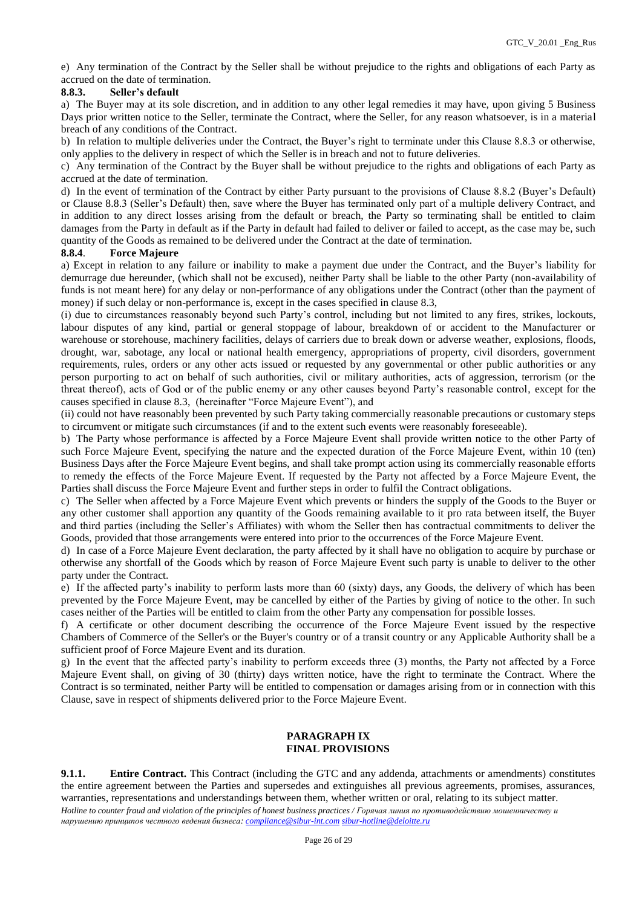e) Any termination of the Contract by the Seller shall be without prejudice to the rights and obligations of each Party as accrued on the date of termination.

## **8.8.3. Seller's default**

a) The Buyer may at its sole discretion, and in addition to any other legal remedies it may have, upon giving 5 Business Days prior written notice to the Seller, terminate the Contract, where the Seller, for any reason whatsoever, is in a material breach of any conditions of the Contract.

b) In relation to multiple deliveries under the Contract, the Buyer's right to terminate under this Clause 8.8.3 or otherwise, only applies to the delivery in respect of which the Seller is in breach and not to future deliveries.

c) Any termination of the Contract by the Buyer shall be without prejudice to the rights and obligations of each Party as accrued at the date of termination.

d) In the event of termination of the Contract by either Party pursuant to the provisions of Clause 8.8.2 (Buyer's Default) or Clause 8.8.3 (Seller's Default) then, save where the Buyer has terminated only part of a multiple delivery Contract, and in addition to any direct losses arising from the default or breach, the Party so terminating shall be entitled to claim damages from the Party in default as if the Party in default had failed to deliver or failed to accept, as the case may be, such quantity of the Goods as remained to be delivered under the Contract at the date of termination.

#### **8.8.4**. **Force Majeure**

a) Except in relation to any failure or inability to make a payment due under the Contract, and the Buyer's liability for demurrage due hereunder, (which shall not be excused), neither Party shall be liable to the other Party (non-availability of funds is not meant here) for any delay or non-performance of any obligations under the Contract (other than the payment of money) if such delay or non-performance is, except in the cases specified in clause 8.3,

(i) due to circumstances reasonably beyond such Party's control, including but not limited to any fires, strikes, lockouts, labour disputes of any kind, partial or general stoppage of labour, breakdown of or accident to the Manufacturer or warehouse or storehouse, machinery facilities, delays of carriers due to break down or adverse weather, explosions, floods, drought, war, sabotage, any local or national health emergency, appropriations of property, civil disorders, government requirements, rules, orders or any other acts issued or requested by any governmental or other public authorities or any person purporting to act on behalf of such authorities, civil or military authorities, acts of aggression, terrorism (or the threat thereof), acts of God or of the public enemy or any other causes beyond Party's reasonable control, except for the causes specified in clause 8.3, (hereinafter "Force Majeure Event"), and

(ii) could not have reasonably been prevented by such Party taking commercially reasonable precautions or customary steps to circumvent or mitigate such circumstances (if and to the extent such events were reasonably foreseeable).

b) The Party whose performance is affected by a Force Majeure Event shall provide written notice to the other Party of such Force Majeure Event, specifying the nature and the expected duration of the Force Majeure Event, within 10 (ten) Business Days after the Force Majeure Event begins, and shall take prompt action using its commercially reasonable efforts to remedy the effects of the Force Majeure Event. If requested by the Party not affected by a Force Majeure Event, the Parties shall discuss the Force Majeure Event and further steps in order to fulfil the Contract obligations.

c) The Seller when affected by a Force Majeure Event which prevents or hinders the supply of the Goods to the Buyer or any other customer shall apportion any quantity of the Goods remaining available to it pro rata between itself, the Buyer and third parties (including the Seller's Affiliates) with whom the Seller then has contractual commitments to deliver the Goods, provided that those arrangements were entered into prior to the occurrences of the Force Majeure Event.

d) In case of a Force Majeure Event declaration, the party affected by it shall have no obligation to acquire by purchase or otherwise any shortfall of the Goods which by reason of Force Majeure Event such party is unable to deliver to the other party under the Contract.

e) If the affected party's inability to perform lasts more than 60 (sixty) days, any Goods, the delivery of which has been prevented by the Force Majeure Event, may be cancelled by either of the Parties by giving of notice to the other. In such cases neither of the Parties will be entitled to claim from the other Party any compensation for possible losses.

f) A certificate or other document describing the occurrence of the Force Majeure Event issued by the respective Chambers of Commerce of the Seller's or the Buyer's country or of a transit country or any Applicable Authority shall be a sufficient proof of Force Majeure Event and its duration.

g) In the event that the affected party's inability to perform exceeds three (3) months, the Party not affected by a Force Majeure Event shall, on giving of 30 (thirty) days written notice, have the right to terminate the Contract. Where the Contract is so terminated, neither Party will be entitled to compensation or damages arising from or in connection with this Clause, save in respect of shipments delivered prior to the Force Majeure Event.

## **PARAGRAPH IX FINAL PROVISIONS**

*Hotline to counter fraud and violation of the principles of honest business practices / Горячая линия по противодействию мошенничеству и нарушению принципов честного ведения бизнеса: [compliance@sibur-int.com](mailto:compliance@sibur-int.com) [sibur-hotline@deloitte.ru](mailto:sibur-hotline@deloitte.ru)* **9.1.1. Entire Contract.** This Contract (including the GTC and any addenda, attachments or amendments) constitutes the entire agreement between the Parties and supersedes and extinguishes all previous agreements, promises, assurances, warranties, representations and understandings between them, whether written or oral, relating to its subject matter.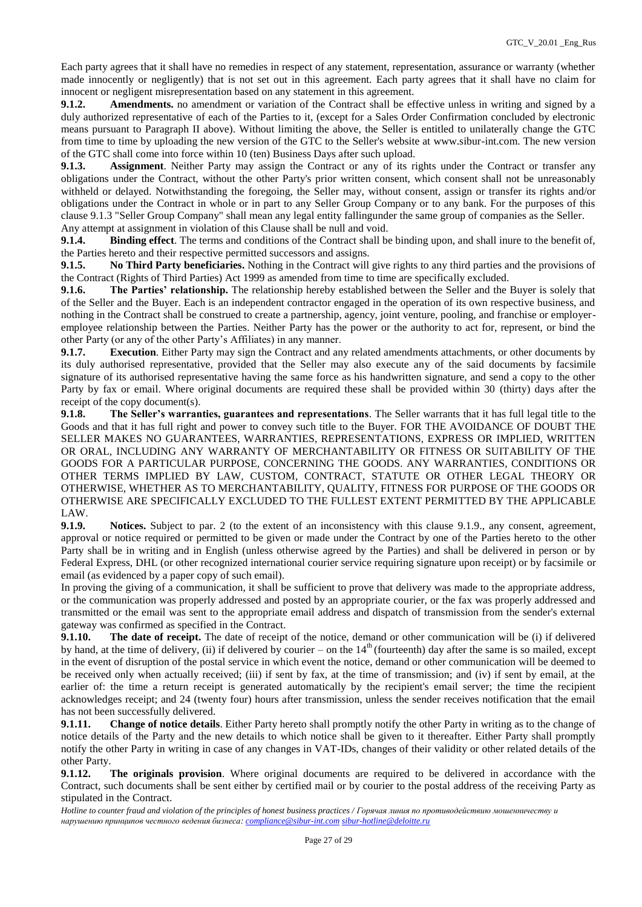Each party agrees that it shall have no remedies in respect of any statement, representation, assurance or warranty (whether made innocently or negligently) that is not set out in this agreement. Each party agrees that it shall have no claim for innocent or negligent misrepresentation based on any statement in this agreement.

**9.1.2. Amendments.** no amendment or variation of the Contract shall be effective unless in writing and signed by a duly authorized representative of each of the Parties to it, (except for a Sales Order Confirmation concluded by electronic means pursuant to Paragraph II above). Without limiting the above, the Seller is entitled to unilaterally change the GTC from time to time by uploading the new version of the GTC to the Seller's website at www.sibur-int.com. The new version of the GTC shall come into force within 10 (ten) Business Days after such upload.

**9.1.3. Assignment**. Neither Party may assign the Contract or any of its rights under the Contract or transfer any obligations under the Contract, without the other Party's prior written consent, which consent shall not be unreasonably withheld or delayed. Notwithstanding the foregoing, the Seller may, without consent, assign or transfer its rights and/or obligations under the Contract in whole or in part to any Seller Group Company or to any bank. For the purposes of this clause 9.1.3 "Seller Group Company" shall mean any legal entity fallingunder the same group of companies as the Seller. Any attempt at assignment in violation of this Clause shall be null and void.

**9.1.4. Binding effect**. The terms and conditions of the Contract shall be binding upon, and shall inure to the benefit of, the Parties hereto and their respective permitted successors and assigns.

**9.1.5. No Third Party beneficiaries.** Nothing in the Contract will give rights to any third parties and the provisions of the Contract (Rights of Third Parties) Act 1999 as amended from time to time are specifically excluded.

**9.1.6. The Parties' relationship.** The relationship hereby established between the Seller and the Buyer is solely that of the Seller and the Buyer. Each is an independent contractor engaged in the operation of its own respective business, and nothing in the Contract shall be construed to create a partnership, agency, joint venture, pooling, and franchise or employeremployee relationship between the Parties. Neither Party has the power or the authority to act for, represent, or bind the other Party (or any of the other Party's Affiliates) in any manner.

**9.1.7. Execution**. Either Party may sign the Contract and any related amendments attachments, or other documents by its duly authorised representative, provided that the Seller may also execute any of the said documents by facsimile signature of its authorised representative having the same force as his handwritten signature, and send a copy to the other Party by fax or email. Where original documents are required these shall be provided within 30 (thirty) days after the receipt of the copy document(s).

**9.1.8. The Seller's warranties, guarantees and representations**. The Seller warrants that it has full legal title to the Goods and that it has full right and power to convey such title to the Buyer. FOR THE AVOIDANCE OF DOUBT THE SELLER MAKES NO GUARANTEES, WARRANTIES, REPRESENTATIONS, EXPRESS OR IMPLIED, WRITTEN OR ORAL, INCLUDING ANY WARRANTY OF MERCHANTABILITY OR FITNESS OR SUITABILITY OF THE GOODS FOR A PARTICULAR PURPOSE, CONCERNING THE GOODS. ANY WARRANTIES, CONDITIONS OR OTHER TERMS IMPLIED BY LAW, CUSTOM, CONTRACT, STATUTE OR OTHER LEGAL THEORY OR OTHERWISE, WHETHER AS TO MERCHANTABILITY, QUALITY, FITNESS FOR PURPOSE OF THE GOODS OR OTHERWISE ARE SPECIFICALLY EXCLUDED TO THE FULLEST EXTENT PERMITTED BY THE APPLICABLE LAW.

**9.1.9. Notices.** Subject to par. 2 (to the extent of an inconsistency with this clause 9.1.9., any consent, agreement, approval or notice required or permitted to be given or made under the Contract by one of the Parties hereto to the other Party shall be in writing and in English (unless otherwise agreed by the Parties) and shall be delivered in person or by Federal Express, DHL (or other recognized international courier service requiring signature upon receipt) or by facsimile or email (as evidenced by a paper copy of such email).

In proving the giving of a communication, it shall be sufficient to prove that delivery was made to the appropriate address, or the communication was properly addressed and posted by an appropriate courier, or the fax was properly addressed and transmitted or the email was sent to the appropriate email address and dispatch of transmission from the sender's external gateway was confirmed as specified in the Contract.

**9.1.10. The date of receipt.** The date of receipt of the notice, demand or other communication will be (i) if delivered by hand, at the time of delivery, (ii) if delivered by courier – on the  $14<sup>th</sup>$  (fourteenth) day after the same is so mailed, except in the event of disruption of the postal service in which event the notice, demand or other communication will be deemed to be received only when actually received; (iii) if sent by fax, at the time of transmission; and (iv) if sent by email, at the earlier of: the time a return receipt is generated automatically by the recipient's email server; the time the recipient acknowledges receipt; and 24 (twenty four) hours after transmission, unless the sender receives notification that the email has not been successfully delivered.

**9.1.11. Change of notice details**. Either Party hereto shall promptly notify the other Party in writing as to the change of notice details of the Party and the new details to which notice shall be given to it thereafter. Either Party shall promptly notify the other Party in writing in case of any changes in VAT-IDs, changes of their validity or other related details of the other Party.

**9.1.12. The originals provision**. Where original documents are required to be delivered in accordance with the Contract, such documents shall be sent either by certified mail or by courier to the postal address of the receiving Party as stipulated in the Contract.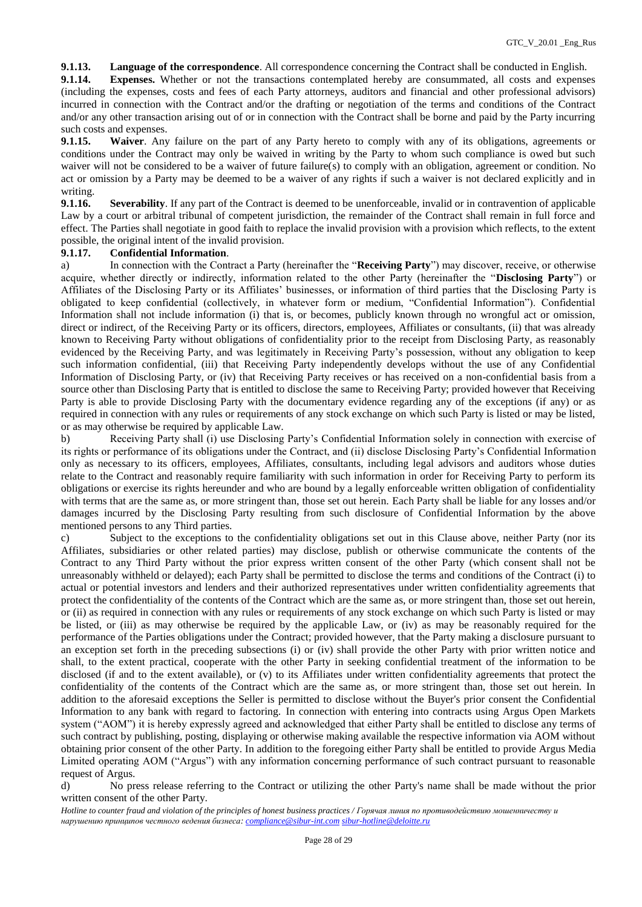**9.1.13. Language of the correspondence**. All correspondence concerning the Contract shall be conducted in English.

**9.1.14. Expenses.** Whether or not the transactions contemplated hereby are consummated, all costs and expenses (including the expenses, costs and fees of each Party attorneys, auditors and financial and other professional advisors) incurred in connection with the Contract and/or the drafting or negotiation of the terms and conditions of the Contract and/or any other transaction arising out of or in connection with the Contract shall be borne and paid by the Party incurring such costs and expenses.

**9.1.15. Waiver**. Any failure on the part of any Party hereto to comply with any of its obligations, agreements or conditions under the Contract may only be waived in writing by the Party to whom such compliance is owed but such waiver will not be considered to be a waiver of future failure(s) to comply with an obligation, agreement or condition. No act or omission by a Party may be deemed to be a waiver of any rights if such a waiver is not declared explicitly and in writing.

**9.1.16. Severability**. If any part of the Contract is deemed to be unenforceable, invalid or in contravention of applicable Law by a court or arbitral tribunal of competent jurisdiction, the remainder of the Contract shall remain in full force and effect. The Parties shall negotiate in good faith to replace the invalid provision with a provision which reflects, to the extent possible, the original intent of the invalid provision.

#### **9.1.17. Confidential Information**.

a) In connection with the Contract a Party (hereinafter the "**Receiving Party**") may discover, receive, or otherwise acquire, whether directly or indirectly, information related to the other Party (hereinafter the "**Disclosing Party**") or Affiliates of the Disclosing Party or its Affiliates' businesses, or information of third parties that the Disclosing Party is obligated to keep confidential (collectively, in whatever form or medium, "Confidential Information"). Confidential Information shall not include information (i) that is, or becomes, publicly known through no wrongful act or omission, direct or indirect, of the Receiving Party or its officers, directors, employees, Affiliates or consultants, (ii) that was already known to Receiving Party without obligations of confidentiality prior to the receipt from Disclosing Party, as reasonably evidenced by the Receiving Party, and was legitimately in Receiving Party's possession, without any obligation to keep such information confidential, (iii) that Receiving Party independently develops without the use of any Confidential Information of Disclosing Party, or (iv) that Receiving Party receives or has received on a non-confidential basis from a source other than Disclosing Party that is entitled to disclose the same to Receiving Party; provided however that Receiving Party is able to provide Disclosing Party with the documentary evidence regarding any of the exceptions (if any) or as required in connection with any rules or requirements of any stock exchange on which such Party is listed or may be listed, or as may otherwise be required by applicable Law.

b) Receiving Party shall (i) use Disclosing Party's Confidential Information solely in connection with exercise of its rights or performance of its obligations under the Contract, and (ii) disclose Disclosing Party's Confidential Information only as necessary to its officers, employees, Affiliates, consultants, including legal advisors and auditors whose duties relate to the Contract and reasonably require familiarity with such information in order for Receiving Party to perform its obligations or exercise its rights hereunder and who are bound by a legally enforceable written obligation of confidentiality with terms that are the same as, or more stringent than, those set out herein. Each Party shall be liable for any losses and/or damages incurred by the Disclosing Party resulting from such disclosure of Confidential Information by the above mentioned persons to any Third parties.

c) Subject to the exceptions to the confidentiality obligations set out in this Clause above, neither Party (nor its Affiliates, subsidiaries or other related parties) may disclose, publish or otherwise communicate the contents of the Contract to any Third Party without the prior express written consent of the other Party (which consent shall not be unreasonably withheld or delayed); each Party shall be permitted to disclose the terms and conditions of the Contract (i) to actual or potential investors and lenders and their authorized representatives under written confidentiality agreements that protect the confidentiality of the contents of the Contract which are the same as, or more stringent than, those set out herein, or (ii) as required in connection with any rules or requirements of any stock exchange on which such Party is listed or may be listed, or (iii) as may otherwise be required by the applicable Law, or (iv) as may be reasonably required for the performance of the Parties obligations under the Contract; provided however, that the Party making a disclosure pursuant to an exception set forth in the preceding subsections (i) or (iv) shall provide the other Party with prior written notice and shall, to the extent practical, cooperate with the other Party in seeking confidential treatment of the information to be disclosed (if and to the extent available), or (v) to its Affiliates under written confidentiality agreements that protect the confidentiality of the contents of the Contract which are the same as, or more stringent than, those set out herein. In addition to the aforesaid exceptions the Seller is permitted to disclose without the Buyer's prior consent the Confidential Information to any bank with regard to factoring. In connection with entering into contracts using Argus Open Markets system ("AOM") it is hereby expressly agreed and acknowledged that either Party shall be entitled to disclose any terms of such contract by publishing, posting, displaying or otherwise making available the respective information via AOM without obtaining prior consent of the other Party. In addition to the foregoing either Party shall be entitled to provide Argus Media Limited operating AOM ("Argus") with any information concerning performance of such contract pursuant to reasonable request of Argus.

d) No press release referring to the Contract or utilizing the other Party's name shall be made without the prior written consent of the other Party.